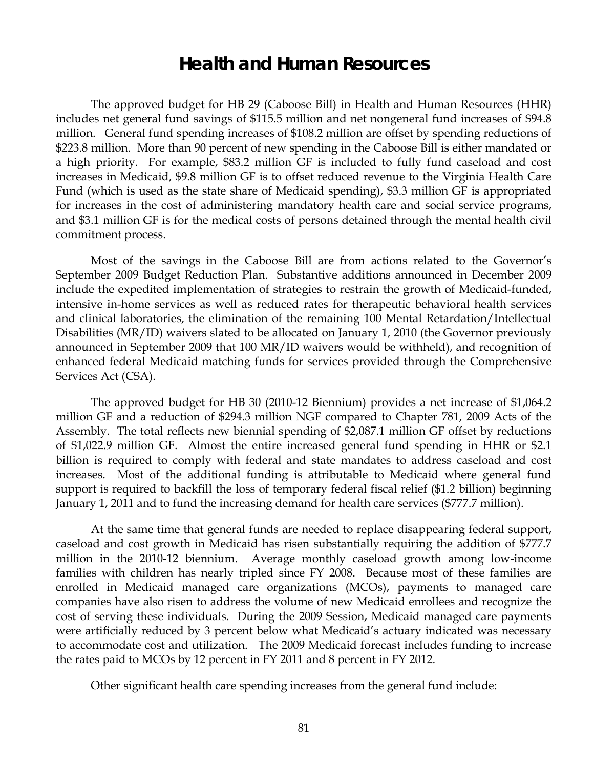# **Health and Human Resources**

The approved budget for HB 29 (Caboose Bill) in Health and Human Resources (HHR) includes net general fund savings of \$115.5 million and net nongeneral fund increases of \$94.8 million. General fund spending increases of \$108.2 million are offset by spending reductions of \$223.8 million. More than 90 percent of new spending in the Caboose Bill is either mandated or a high priority. For example, \$83.2 million GF is included to fully fund caseload and cost increases in Medicaid, \$9.8 million GF is to offset reduced revenue to the Virginia Health Care Fund (which is used as the state share of Medicaid spending), \$3.3 million GF is appropriated for increases in the cost of administering mandatory health care and social service programs, and \$3.1 million GF is for the medical costs of persons detained through the mental health civil commitment process.

Most of the savings in the Caboose Bill are from actions related to the Governor's September 2009 Budget Reduction Plan. Substantive additions announced in December 2009 include the expedited implementation of strategies to restrain the growth of Medicaid-funded, intensive in-home services as well as reduced rates for therapeutic behavioral health services and clinical laboratories, the elimination of the remaining 100 Mental Retardation/Intellectual Disabilities (MR/ID) waivers slated to be allocated on January 1, 2010 (the Governor previously announced in September 2009 that 100 MR/ID waivers would be withheld), and recognition of enhanced federal Medicaid matching funds for services provided through the Comprehensive Services Act (CSA).

The approved budget for HB 30 (2010-12 Biennium) provides a net increase of \$1,064.2 million GF and a reduction of \$294.3 million NGF compared to Chapter 781, 2009 Acts of the Assembly. The total reflects new biennial spending of \$2,087.1 million GF offset by reductions of \$1,022.9 million GF. Almost the entire increased general fund spending in HHR or \$2.1 billion is required to comply with federal and state mandates to address caseload and cost increases. Most of the additional funding is attributable to Medicaid where general fund support is required to backfill the loss of temporary federal fiscal relief (\$1.2 billion) beginning January 1, 2011 and to fund the increasing demand for health care services (\$777.7 million).

At the same time that general funds are needed to replace disappearing federal support, caseload and cost growth in Medicaid has risen substantially requiring the addition of \$777.7 million in the 2010-12 biennium. Average monthly caseload growth among low-income families with children has nearly tripled since FY 2008. Because most of these families are enrolled in Medicaid managed care organizations (MCOs), payments to managed care companies have also risen to address the volume of new Medicaid enrollees and recognize the cost of serving these individuals. During the 2009 Session, Medicaid managed care payments were artificially reduced by 3 percent below what Medicaid's actuary indicated was necessary to accommodate cost and utilization. The 2009 Medicaid forecast includes funding to increase the rates paid to MCOs by 12 percent in FY 2011 and 8 percent in FY 2012.

Other significant health care spending increases from the general fund include: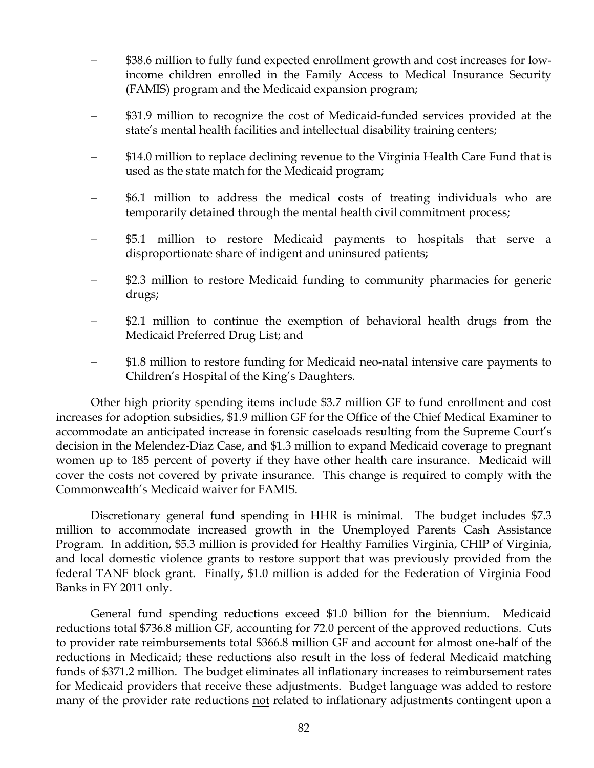- − \$38.6 million to fully fund expected enrollment growth and cost increases for lowincome children enrolled in the Family Access to Medical Insurance Security (FAMIS) program and the Medicaid expansion program;
- − \$31.9 million to recognize the cost of Medicaid-funded services provided at the state's mental health facilities and intellectual disability training centers;
- − \$14.0 million to replace declining revenue to the Virginia Health Care Fund that is used as the state match for the Medicaid program;
- − \$6.1 million to address the medical costs of treating individuals who are temporarily detained through the mental health civil commitment process;
- − \$5.1 million to restore Medicaid payments to hospitals that serve a disproportionate share of indigent and uninsured patients;
- − \$2.3 million to restore Medicaid funding to community pharmacies for generic drugs;
- \$2.1 million to continue the exemption of behavioral health drugs from the Medicaid Preferred Drug List; and
- − \$1.8 million to restore funding for Medicaid neo-natal intensive care payments to Children's Hospital of the King's Daughters.

Other high priority spending items include \$3.7 million GF to fund enrollment and cost increases for adoption subsidies, \$1.9 million GF for the Office of the Chief Medical Examiner to accommodate an anticipated increase in forensic caseloads resulting from the Supreme Court's decision in the Melendez-Diaz Case, and \$1.3 million to expand Medicaid coverage to pregnant women up to 185 percent of poverty if they have other health care insurance. Medicaid will cover the costs not covered by private insurance. This change is required to comply with the Commonwealth's Medicaid waiver for FAMIS.

Discretionary general fund spending in HHR is minimal. The budget includes \$7.3 million to accommodate increased growth in the Unemployed Parents Cash Assistance Program. In addition, \$5.3 million is provided for Healthy Families Virginia, CHIP of Virginia, and local domestic violence grants to restore support that was previously provided from the federal TANF block grant. Finally, \$1.0 million is added for the Federation of Virginia Food Banks in FY 2011 only.

General fund spending reductions exceed \$1.0 billion for the biennium. Medicaid reductions total \$736.8 million GF, accounting for 72.0 percent of the approved reductions. Cuts to provider rate reimbursements total \$366.8 million GF and account for almost one-half of the reductions in Medicaid; these reductions also result in the loss of federal Medicaid matching funds of \$371.2 million. The budget eliminates all inflationary increases to reimbursement rates for Medicaid providers that receive these adjustments. Budget language was added to restore many of the provider rate reductions not related to inflationary adjustments contingent upon a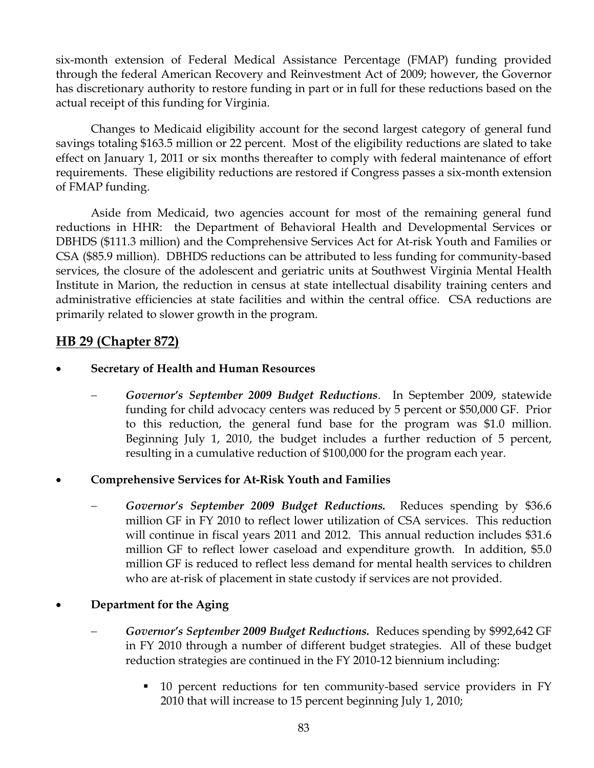six-month extension of Federal Medical Assistance Percentage (FMAP) funding provided through the federal American Recovery and Reinvestment Act of 2009; however, the Governor has discretionary authority to restore funding in part or in full for these reductions based on the actual receipt of this funding for Virginia.

Changes to Medicaid eligibility account for the second largest category of general fund savings totaling \$163.5 million or 22 percent. Most of the eligibility reductions are slated to take effect on January 1, 2011 or six months thereafter to comply with federal maintenance of effort requirements. These eligibility reductions are restored if Congress passes a six-month extension of FMAP funding.

Aside from Medicaid, two agencies account for most of the remaining general fund reductions in HHR: the Department of Behavioral Health and Developmental Services or DBHDS (\$111.3 million) and the Comprehensive Services Act for At-risk Youth and Families or CSA (\$85.9 million). DBHDS reductions can be attributed to less funding for community-based services, the closure of the adolescent and geriatric units at Southwest Virginia Mental Health Institute in Marion, the reduction in census at state intellectual disability training centers and administrative efficiencies at state facilities and within the central office. CSA reductions are primarily related to slower growth in the program.

## **HB 29 (Chapter 872)**

- **Secretary of Health and Human Resources** 
	- − *Governor's September 2009 Budget Reductions*. In September 2009, statewide funding for child advocacy centers was reduced by 5 percent or \$50,000 GF. Prior to this reduction, the general fund base for the program was \$1.0 million. Beginning July 1, 2010, the budget includes a further reduction of 5 percent, resulting in a cumulative reduction of \$100,000 for the program each year.
- **Comprehensive Services for At-Risk Youth and Families** 
	- Governor's September 2009 Budget Reductions. Reduces spending by \$36.6 million GF in FY 2010 to reflect lower utilization of CSA services. This reduction will continue in fiscal years 2011 and 2012. This annual reduction includes \$31.6 million GF to reflect lower caseload and expenditure growth. In addition, \$5.0 million GF is reduced to reflect less demand for mental health services to children who are at-risk of placement in state custody if services are not provided.
- **Department for the Aging** 
	- − *Governor's September 2009 Budget Reductions.* Reduces spending by \$992,642 GF in FY 2010 through a number of different budget strategies. All of these budget reduction strategies are continued in the FY 2010-12 biennium including:
		- 10 percent reductions for ten community-based service providers in FY 2010 that will increase to 15 percent beginning July 1, 2010;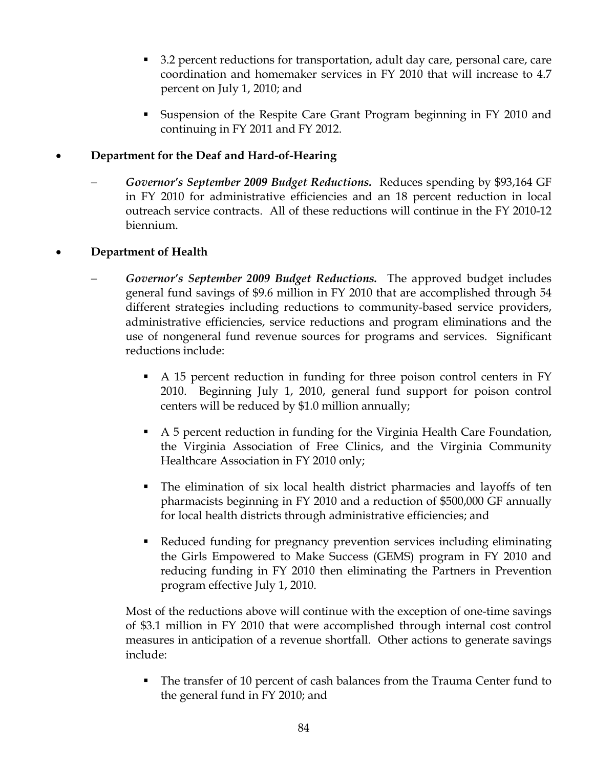- 3.2 percent reductions for transportation, adult day care, personal care, care coordination and homemaker services in FY 2010 that will increase to 4.7 percent on July 1, 2010; and
- Suspension of the Respite Care Grant Program beginning in FY 2010 and continuing in FY 2011 and FY 2012.

## • **Department for the Deaf and Hard-of-Hearing**

− *Governor's September 2009 Budget Reductions.* Reduces spending by \$93,164 GF in FY 2010 for administrative efficiencies and an 18 percent reduction in local outreach service contracts. All of these reductions will continue in the FY 2010-12 biennium.

## • **Department of Health**

- − *Governor's September 2009 Budget Reductions.* The approved budget includes general fund savings of \$9.6 million in FY 2010 that are accomplished through 54 different strategies including reductions to community-based service providers, administrative efficiencies, service reductions and program eliminations and the use of nongeneral fund revenue sources for programs and services. Significant reductions include:
	- A 15 percent reduction in funding for three poison control centers in FY 2010. Beginning July 1, 2010, general fund support for poison control centers will be reduced by \$1.0 million annually;
	- A 5 percent reduction in funding for the Virginia Health Care Foundation, the Virginia Association of Free Clinics, and the Virginia Community Healthcare Association in FY 2010 only;
	- The elimination of six local health district pharmacies and layoffs of ten pharmacists beginning in FY 2010 and a reduction of \$500,000 GF annually for local health districts through administrative efficiencies; and
	- Reduced funding for pregnancy prevention services including eliminating the Girls Empowered to Make Success (GEMS) program in FY 2010 and reducing funding in FY 2010 then eliminating the Partners in Prevention program effective July 1, 2010.

Most of the reductions above will continue with the exception of one-time savings of \$3.1 million in FY 2010 that were accomplished through internal cost control measures in anticipation of a revenue shortfall. Other actions to generate savings include:

■ The transfer of 10 percent of cash balances from the Trauma Center fund to the general fund in FY 2010; and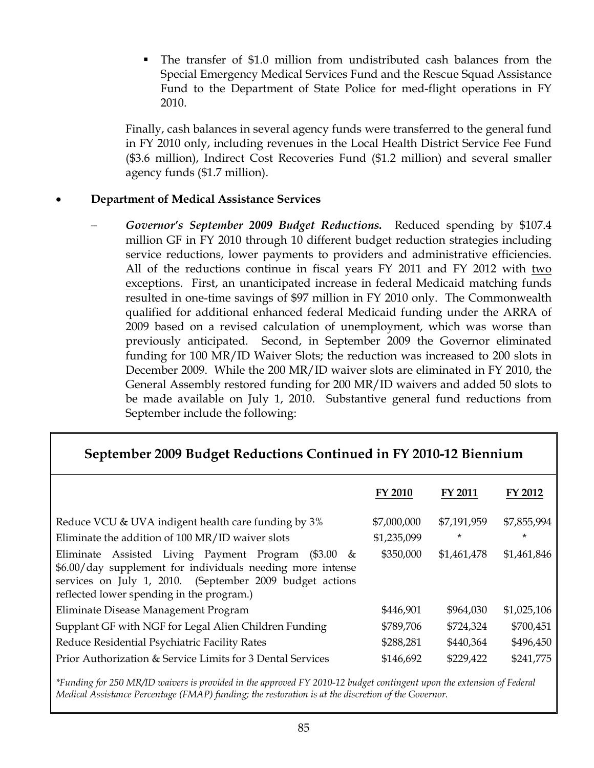The transfer of \$1.0 million from undistributed cash balances from the Special Emergency Medical Services Fund and the Rescue Squad Assistance Fund to the Department of State Police for med-flight operations in FY 2010.

Finally, cash balances in several agency funds were transferred to the general fund in FY 2010 only, including revenues in the Local Health District Service Fee Fund (\$3.6 million), Indirect Cost Recoveries Fund (\$1.2 million) and several smaller agency funds (\$1.7 million).

## • **Department of Medical Assistance Services**

− *Governor's September 2009 Budget Reductions.* Reduced spending by \$107.4 million GF in FY 2010 through 10 different budget reduction strategies including service reductions, lower payments to providers and administrative efficiencies. All of the reductions continue in fiscal years FY 2011 and FY 2012 with two exceptions. First, an unanticipated increase in federal Medicaid matching funds resulted in one-time savings of \$97 million in FY 2010 only. The Commonwealth qualified for additional enhanced federal Medicaid funding under the ARRA of 2009 based on a revised calculation of unemployment, which was worse than previously anticipated. Second, in September 2009 the Governor eliminated funding for 100 MR/ID Waiver Slots; the reduction was increased to 200 slots in December 2009. While the 200 MR/ID waiver slots are eliminated in FY 2010, the General Assembly restored funding for 200 MR/ID waivers and added 50 slots to be made available on July 1, 2010. Substantive general fund reductions from September include the following:

## **September 2009 Budget Reductions Continued in FY 2010-12 Biennium**

|                                                                                                                                                                                                                                        | FY 2010     | FY 2011     | FY 2012     |
|----------------------------------------------------------------------------------------------------------------------------------------------------------------------------------------------------------------------------------------|-------------|-------------|-------------|
| Reduce VCU & UVA indigent health care funding by 3%                                                                                                                                                                                    | \$7,000,000 | \$7,191,959 | \$7,855,994 |
| Eliminate the addition of 100 MR/ID waiver slots                                                                                                                                                                                       | \$1,235,099 | $^\star$    | $\ast$      |
| Assisted Living Payment Program<br>(\$3.00<br>Eliminate<br>$\&$<br>\$6.00/day supplement for individuals needing more intense<br>services on July 1, 2010. (September 2009 budget actions<br>reflected lower spending in the program.) | \$350,000   | \$1,461,478 | \$1,461,846 |
| Eliminate Disease Management Program                                                                                                                                                                                                   | \$446,901   | \$964,030   | \$1,025,106 |
| Supplant GF with NGF for Legal Alien Children Funding                                                                                                                                                                                  | \$789,706   | \$724,324   | \$700,451   |
| Reduce Residential Psychiatric Facility Rates                                                                                                                                                                                          | \$288,281   | \$440,364   | \$496,450   |
| Prior Authorization & Service Limits for 3 Dental Services                                                                                                                                                                             | \$146,692   | \$229,422   | \$241,775   |

*\*Funding for 250 MR/ID waivers is provided in the approved FY 2010-12 budget contingent upon the extension of Federal Medical Assistance Percentage (FMAP) funding; the restoration is at the discretion of the Governor.*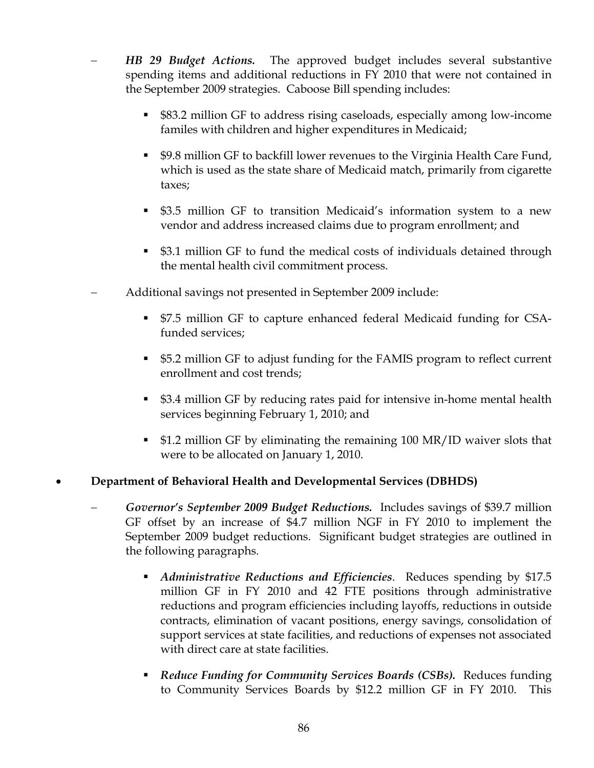- **HB 29 Budget Actions.** The approved budget includes several substantive spending items and additional reductions in FY 2010 that were not contained in the September 2009 strategies. Caboose Bill spending includes:
	- \$83.2 million GF to address rising caseloads, especially among low-income familes with children and higher expenditures in Medicaid;
	- \$9.8 million GF to backfill lower revenues to the Virginia Health Care Fund, which is used as the state share of Medicaid match, primarily from cigarette taxes;
	- \$3.5 million GF to transition Medicaid's information system to a new vendor and address increased claims due to program enrollment; and
	- \$3.1 million GF to fund the medical costs of individuals detained through the mental health civil commitment process.
- − Additional savings not presented in September 2009 include:
	- \$7.5 million GF to capture enhanced federal Medicaid funding for CSAfunded services;
	- \$5.2 million GF to adjust funding for the FAMIS program to reflect current enrollment and cost trends;
	- \$3.4 million GF by reducing rates paid for intensive in-home mental health services beginning February 1, 2010; and
	- \$1.2 million GF by eliminating the remaining 100 MR/ID waiver slots that were to be allocated on January 1, 2010.

## • **Department of Behavioral Health and Developmental Services (DBHDS)**

- − *Governor's September 2009 Budget Reductions.* Includes savings of \$39.7 million GF offset by an increase of \$4.7 million NGF in FY 2010 to implement the September 2009 budget reductions. Significant budget strategies are outlined in the following paragraphs.
	- *Administrative Reductions and Efficiencies*. Reduces spending by \$17.5 million GF in FY 2010 and 42 FTE positions through administrative reductions and program efficiencies including layoffs, reductions in outside contracts, elimination of vacant positions, energy savings, consolidation of support services at state facilities, and reductions of expenses not associated with direct care at state facilities.
	- *Reduce Funding for Community Services Boards (CSBs).* Reduces funding to Community Services Boards by \$12.2 million GF in FY 2010. This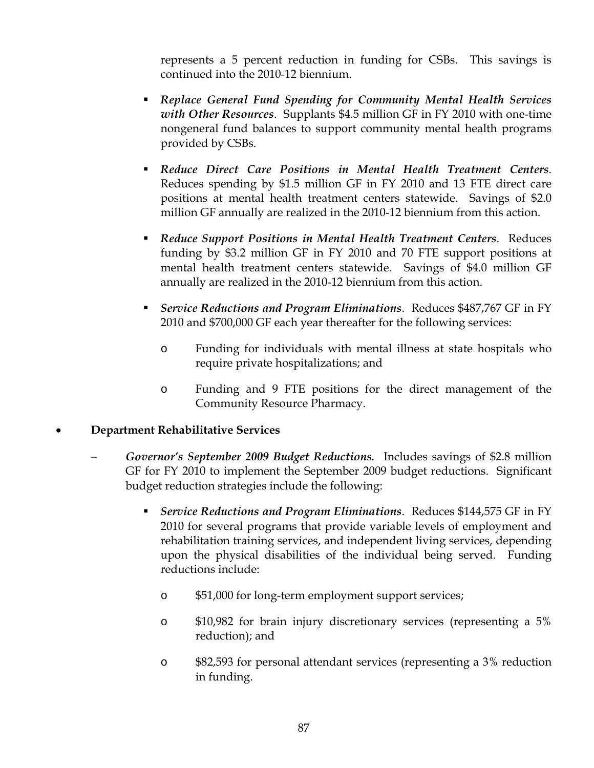represents a 5 percent reduction in funding for CSBs. This savings is continued into the 2010-12 biennium.

- *Replace General Fund Spending for Community Mental Health Services with Other Resources*. Supplants \$4.5 million GF in FY 2010 with one-time nongeneral fund balances to support community mental health programs provided by CSBs.
- *Reduce Direct Care Positions in Mental Health Treatment Centers*. Reduces spending by \$1.5 million GF in FY 2010 and 13 FTE direct care positions at mental health treatment centers statewide. Savings of \$2.0 million GF annually are realized in the 2010-12 biennium from this action.
- *Reduce Support Positions in Mental Health Treatment Centers*. Reduces funding by \$3.2 million GF in FY 2010 and 70 FTE support positions at mental health treatment centers statewide. Savings of \$4.0 million GF annually are realized in the 2010-12 biennium from this action.
- *Service Reductions and Program Eliminations*. Reduces \$487,767 GF in FY 2010 and \$700,000 GF each year thereafter for the following services:
	- o Funding for individuals with mental illness at state hospitals who require private hospitalizations; and
	- o Funding and 9 FTE positions for the direct management of the Community Resource Pharmacy.

## • **Department Rehabilitative Services**

- − *Governor's September 2009 Budget Reductions.* Includes savings of \$2.8 million GF for FY 2010 to implement the September 2009 budget reductions. Significant budget reduction strategies include the following:
	- *Service Reductions and Program Eliminations*. Reduces \$144,575 GF in FY 2010 for several programs that provide variable levels of employment and rehabilitation training services, and independent living services, depending upon the physical disabilities of the individual being served. Funding reductions include:
		- o \$51,000 for long-term employment support services;
		- o \$10,982 for brain injury discretionary services (representing a 5% reduction); and
		- o \$82,593 for personal attendant services (representing a 3% reduction in funding.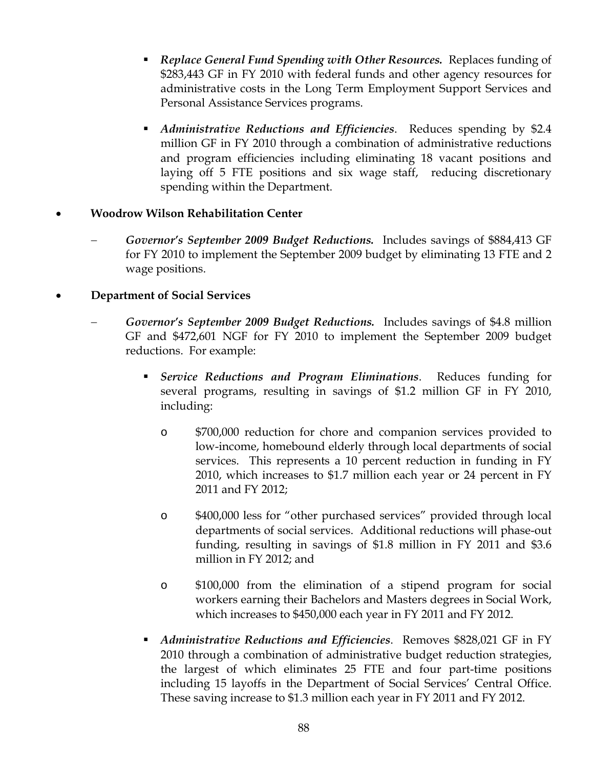- *Replace General Fund Spending with Other Resources.* Replaces funding of \$283,443 GF in FY 2010 with federal funds and other agency resources for administrative costs in the Long Term Employment Support Services and Personal Assistance Services programs.
- *Administrative Reductions and Efficiencies*. Reduces spending by \$2.4 million GF in FY 2010 through a combination of administrative reductions and program efficiencies including eliminating 18 vacant positions and laying off 5 FTE positions and six wage staff, reducing discretionary spending within the Department.

## • **Woodrow Wilson Rehabilitation Center**

Governor's September 2009 Budget Reductions. Includes savings of \$884,413 GF for FY 2010 to implement the September 2009 budget by eliminating 13 FTE and 2 wage positions.

## • **Department of Social Services**

- − *Governor's September 2009 Budget Reductions.* Includes savings of \$4.8 million GF and \$472,601 NGF for FY 2010 to implement the September 2009 budget reductions. For example:
	- *Service Reductions and Program Eliminations*. Reduces funding for several programs, resulting in savings of \$1.2 million GF in FY 2010, including:
		- o \$700,000 reduction for chore and companion services provided to low-income, homebound elderly through local departments of social services. This represents a 10 percent reduction in funding in FY 2010, which increases to \$1.7 million each year or 24 percent in FY 2011 and FY 2012;
		- o \$400,000 less for "other purchased services" provided through local departments of social services. Additional reductions will phase-out funding, resulting in savings of \$1.8 million in FY 2011 and \$3.6 million in FY 2012; and
		- o \$100,000 from the elimination of a stipend program for social workers earning their Bachelors and Masters degrees in Social Work, which increases to \$450,000 each year in FY 2011 and FY 2012.
	- *Administrative Reductions and Efficiencies*. Removes \$828,021 GF in FY 2010 through a combination of administrative budget reduction strategies, the largest of which eliminates 25 FTE and four part-time positions including 15 layoffs in the Department of Social Services' Central Office. These saving increase to \$1.3 million each year in FY 2011 and FY 2012.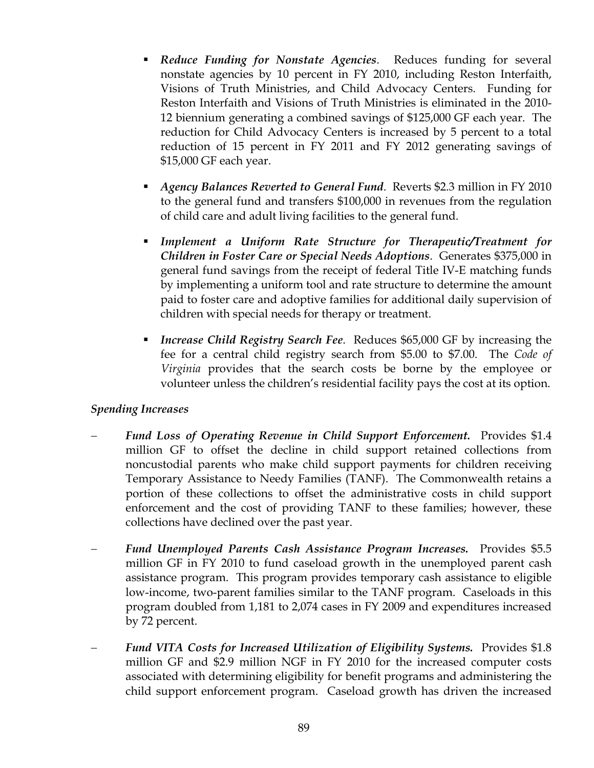- *Reduce Funding for Nonstate Agencies*. Reduces funding for several nonstate agencies by 10 percent in FY 2010, including Reston Interfaith, Visions of Truth Ministries, and Child Advocacy Centers. Funding for Reston Interfaith and Visions of Truth Ministries is eliminated in the 2010- 12 biennium generating a combined savings of \$125,000 GF each year. The reduction for Child Advocacy Centers is increased by 5 percent to a total reduction of 15 percent in FY 2011 and FY 2012 generating savings of \$15,000 GF each year.
- *Agency Balances Reverted to General Fund*. Reverts \$2.3 million in FY 2010 to the general fund and transfers \$100,000 in revenues from the regulation of child care and adult living facilities to the general fund.
- *Implement a Uniform Rate Structure for Therapeutic/Treatment for Children in Foster Care or Special Needs Adoptions*. Generates \$375,000 in general fund savings from the receipt of federal Title IV-E matching funds by implementing a uniform tool and rate structure to determine the amount paid to foster care and adoptive families for additional daily supervision of children with special needs for therapy or treatment.
- *Increase Child Registry Search Fee*. Reduces \$65,000 GF by increasing the fee for a central child registry search from \$5.00 to \$7.00. The *Code of Virginia* provides that the search costs be borne by the employee or volunteer unless the children's residential facility pays the cost at its option.

## *Spending Increases*

- *Fund Loss of Operating Revenue in Child Support Enforcement.* Provides \$1.4 million GF to offset the decline in child support retained collections from noncustodial parents who make child support payments for children receiving Temporary Assistance to Needy Families (TANF). The Commonwealth retains a portion of these collections to offset the administrative costs in child support enforcement and the cost of providing TANF to these families; however, these collections have declined over the past year.
- − *Fund Unemployed Parents Cash Assistance Program Increases.* Provides \$5.5 million GF in FY 2010 to fund caseload growth in the unemployed parent cash assistance program. This program provides temporary cash assistance to eligible low-income, two-parent families similar to the TANF program. Caseloads in this program doubled from 1,181 to 2,074 cases in FY 2009 and expenditures increased by 72 percent.
- − *Fund VITA Costs for Increased Utilization of Eligibility Systems.* Provides \$1.8 million GF and \$2.9 million NGF in FY 2010 for the increased computer costs associated with determining eligibility for benefit programs and administering the child support enforcement program. Caseload growth has driven the increased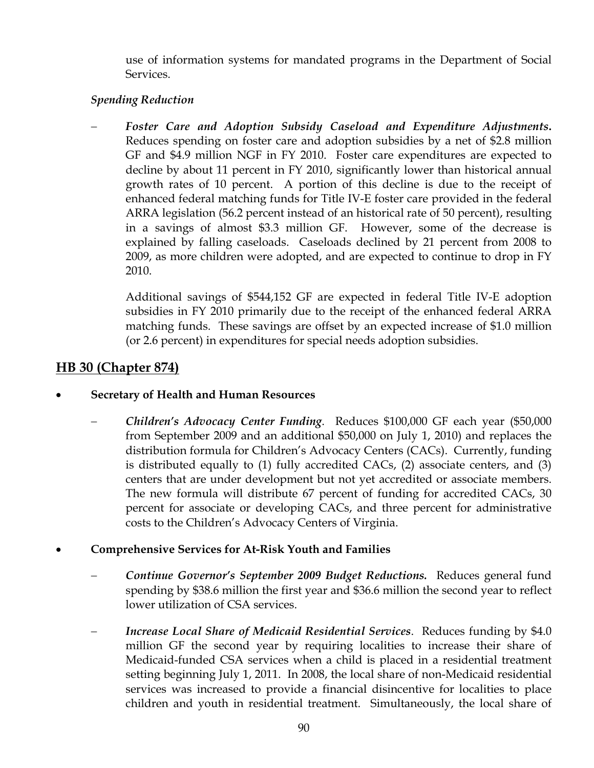use of information systems for mandated programs in the Department of Social Services.

## *Spending Reduction*

− *Foster Care and Adoption Subsidy Caseload and Expenditure Adjustments***.** Reduces spending on foster care and adoption subsidies by a net of \$2.8 million GF and \$4.9 million NGF in FY 2010. Foster care expenditures are expected to decline by about 11 percent in FY 2010, significantly lower than historical annual growth rates of 10 percent. A portion of this decline is due to the receipt of enhanced federal matching funds for Title IV-E foster care provided in the federal ARRA legislation (56.2 percent instead of an historical rate of 50 percent), resulting in a savings of almost \$3.3 million GF. However, some of the decrease is explained by falling caseloads. Caseloads declined by 21 percent from 2008 to 2009, as more children were adopted, and are expected to continue to drop in FY 2010.

Additional savings of \$544,152 GF are expected in federal Title IV-E adoption subsidies in FY 2010 primarily due to the receipt of the enhanced federal ARRA matching funds. These savings are offset by an expected increase of \$1.0 million (or 2.6 percent) in expenditures for special needs adoption subsidies.

## **HB 30 (Chapter 874)**

- **Secretary of Health and Human Resources** 
	- − *Children's Advocacy Center Funding*. Reduces \$100,000 GF each year (\$50,000 from September 2009 and an additional \$50,000 on July 1, 2010) and replaces the distribution formula for Children's Advocacy Centers (CACs). Currently, funding is distributed equally to (1) fully accredited CACs, (2) associate centers, and (3) centers that are under development but not yet accredited or associate members. The new formula will distribute 67 percent of funding for accredited CACs, 30 percent for associate or developing CACs, and three percent for administrative costs to the Children's Advocacy Centers of Virginia.
- **Comprehensive Services for At-Risk Youth and Families** 
	- − *Continue Governor's September 2009 Budget Reductions.* Reduces general fund spending by \$38.6 million the first year and \$36.6 million the second year to reflect lower utilization of CSA services.
	- *Increase Local Share of Medicaid Residential Services.* Reduces funding by \$4.0 million GF the second year by requiring localities to increase their share of Medicaid-funded CSA services when a child is placed in a residential treatment setting beginning July 1, 2011. In 2008, the local share of non-Medicaid residential services was increased to provide a financial disincentive for localities to place children and youth in residential treatment. Simultaneously, the local share of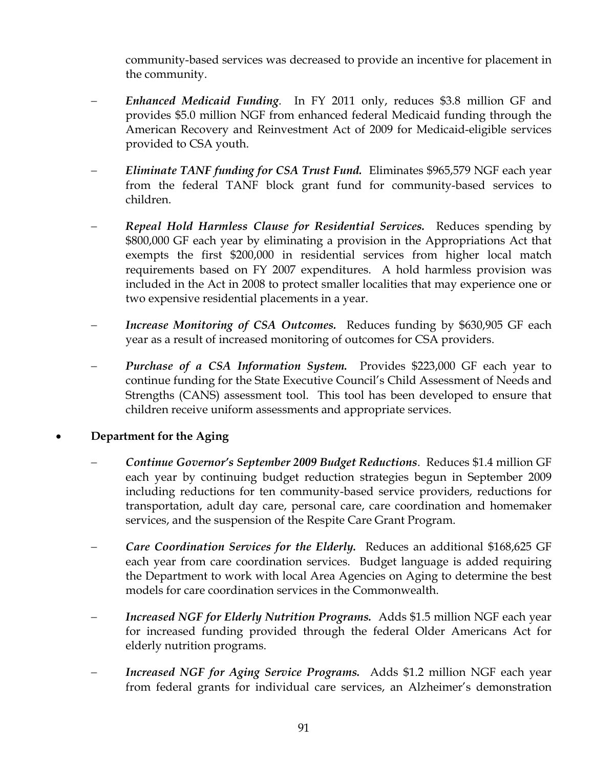community-based services was decreased to provide an incentive for placement in the community.

- − *Enhanced Medicaid Funding*. In FY 2011 only, reduces \$3.8 million GF and provides \$5.0 million NGF from enhanced federal Medicaid funding through the American Recovery and Reinvestment Act of 2009 for Medicaid-eligible services provided to CSA youth.
- − *Eliminate TANF funding for CSA Trust Fund.* Eliminates \$965,579 NGF each year from the federal TANF block grant fund for community-based services to children.
- − *Repeal Hold Harmless Clause for Residential Services.* Reduces spending by \$800,000 GF each year by eliminating a provision in the Appropriations Act that exempts the first \$200,000 in residential services from higher local match requirements based on FY 2007 expenditures. A hold harmless provision was included in the Act in 2008 to protect smaller localities that may experience one or two expensive residential placements in a year.
- *Increase Monitoring of CSA Outcomes.* Reduces funding by \$630,905 GF each year as a result of increased monitoring of outcomes for CSA providers.
- − *Purchase of a CSA Information System.* Provides \$223,000 GF each year to continue funding for the State Executive Council's Child Assessment of Needs and Strengths (CANS) assessment tool. This tool has been developed to ensure that children receive uniform assessments and appropriate services.

## • **Department for the Aging**

- − *Continue Governor's September 2009 Budget Reductions*. Reduces \$1.4 million GF each year by continuing budget reduction strategies begun in September 2009 including reductions for ten community-based service providers, reductions for transportation, adult day care, personal care, care coordination and homemaker services, and the suspension of the Respite Care Grant Program.
- − *Care Coordination Services for the Elderly.* Reduces an additional \$168,625 GF each year from care coordination services. Budget language is added requiring the Department to work with local Area Agencies on Aging to determine the best models for care coordination services in the Commonwealth.
- *Increased NGF for Elderly Nutrition Programs.* Adds \$1.5 million NGF each year for increased funding provided through the federal Older Americans Act for elderly nutrition programs.
- *Increased NGF for Aging Service Programs.* Adds \$1.2 million NGF each year from federal grants for individual care services, an Alzheimer's demonstration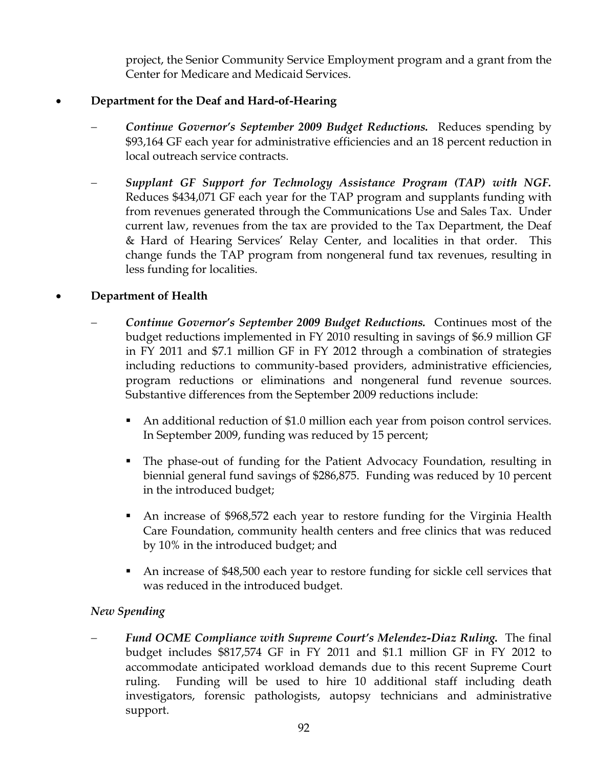project, the Senior Community Service Employment program and a grant from the Center for Medicare and Medicaid Services.

## • **Department for the Deaf and Hard-of-Hearing**

- − *Continue Governor's September 2009 Budget Reductions.* Reduces spending by \$93,164 GF each year for administrative efficiencies and an 18 percent reduction in local outreach service contracts.
- − *Supplant GF Support for Technology Assistance Program (TAP) with NGF.*  Reduces \$434,071 GF each year for the TAP program and supplants funding with from revenues generated through the Communications Use and Sales Tax. Under current law, revenues from the tax are provided to the Tax Department, the Deaf & Hard of Hearing Services' Relay Center, and localities in that order. This change funds the TAP program from nongeneral fund tax revenues, resulting in less funding for localities.

## • **Department of Health**

- − *Continue Governor's September 2009 Budget Reductions.* Continues most of the budget reductions implemented in FY 2010 resulting in savings of \$6.9 million GF in FY 2011 and \$7.1 million GF in FY 2012 through a combination of strategies including reductions to community-based providers, administrative efficiencies, program reductions or eliminations and nongeneral fund revenue sources. Substantive differences from the September 2009 reductions include:
	- An additional reduction of \$1.0 million each year from poison control services. In September 2009, funding was reduced by 15 percent;
	- The phase-out of funding for the Patient Advocacy Foundation, resulting in biennial general fund savings of \$286,875. Funding was reduced by 10 percent in the introduced budget;
	- An increase of \$968,572 each year to restore funding for the Virginia Health Care Foundation, community health centers and free clinics that was reduced by 10% in the introduced budget; and
	- An increase of \$48,500 each year to restore funding for sickle cell services that was reduced in the introduced budget.

## *New Spending*

− *Fund OCME Compliance with Supreme Court's Melendez-Diaz Ruling.* The final budget includes \$817,574 GF in FY 2011 and \$1.1 million GF in FY 2012 to accommodate anticipated workload demands due to this recent Supreme Court ruling. Funding will be used to hire 10 additional staff including death investigators, forensic pathologists, autopsy technicians and administrative support.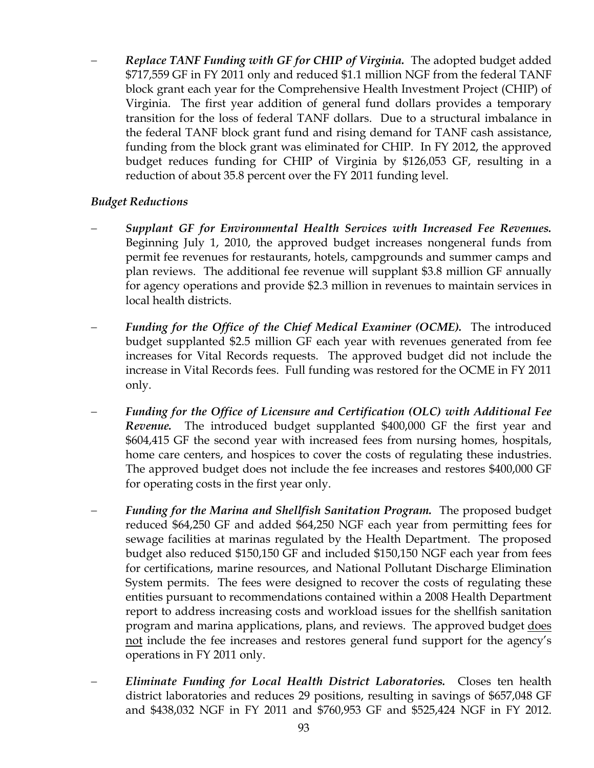− *Replace TANF Funding with GF for CHIP of Virginia.* The adopted budget added \$717,559 GF in FY 2011 only and reduced \$1.1 million NGF from the federal TANF block grant each year for the Comprehensive Health Investment Project (CHIP) of Virginia. The first year addition of general fund dollars provides a temporary transition for the loss of federal TANF dollars. Due to a structural imbalance in the federal TANF block grant fund and rising demand for TANF cash assistance, funding from the block grant was eliminated for CHIP. In FY 2012, the approved budget reduces funding for CHIP of Virginia by \$126,053 GF, resulting in a reduction of about 35.8 percent over the FY 2011 funding level.

## *Budget Reductions*

- − *Supplant GF for Environmental Health Services with Increased Fee Revenues.*  Beginning July 1, 2010, the approved budget increases nongeneral funds from permit fee revenues for restaurants, hotels, campgrounds and summer camps and plan reviews. The additional fee revenue will supplant \$3.8 million GF annually for agency operations and provide \$2.3 million in revenues to maintain services in local health districts.
- *Funding for the Office of the Chief Medical Examiner (OCME).* The introduced budget supplanted \$2.5 million GF each year with revenues generated from fee increases for Vital Records requests. The approved budget did not include the increase in Vital Records fees. Full funding was restored for the OCME in FY 2011 only.
- − *Funding for the Office of Licensure and Certification (OLC) with Additional Fee Revenue.* The introduced budget supplanted \$400,000 GF the first year and \$604,415 GF the second year with increased fees from nursing homes, hospitals, home care centers, and hospices to cover the costs of regulating these industries. The approved budget does not include the fee increases and restores \$400,000 GF for operating costs in the first year only.
- − *Funding for the Marina and Shellfish Sanitation Program.* The proposed budget reduced \$64,250 GF and added \$64,250 NGF each year from permitting fees for sewage facilities at marinas regulated by the Health Department. The proposed budget also reduced \$150,150 GF and included \$150,150 NGF each year from fees for certifications, marine resources, and National Pollutant Discharge Elimination System permits. The fees were designed to recover the costs of regulating these entities pursuant to recommendations contained within a 2008 Health Department report to address increasing costs and workload issues for the shellfish sanitation program and marina applications, plans, and reviews. The approved budget does not include the fee increases and restores general fund support for the agency's operations in FY 2011 only.
- − *Eliminate Funding for Local Health District Laboratories.* Closes ten health district laboratories and reduces 29 positions, resulting in savings of \$657,048 GF and \$438,032 NGF in FY 2011 and \$760,953 GF and \$525,424 NGF in FY 2012.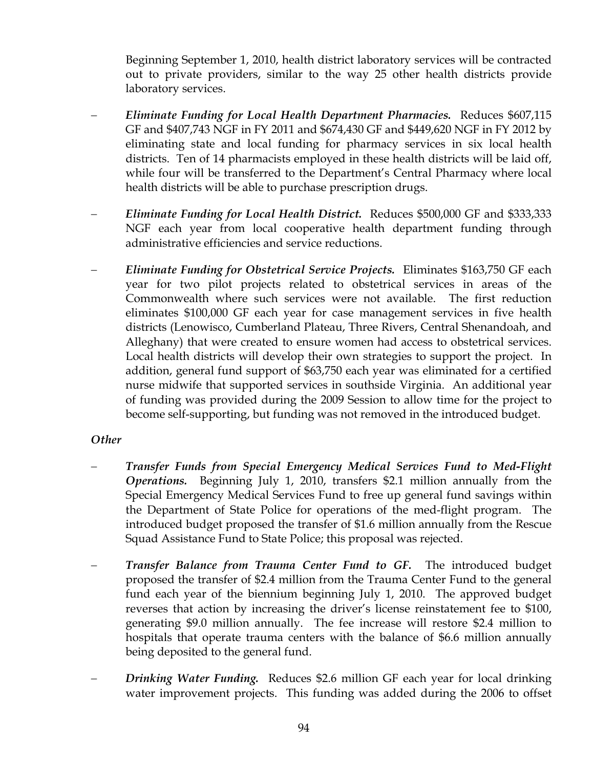Beginning September 1, 2010, health district laboratory services will be contracted out to private providers, similar to the way 25 other health districts provide laboratory services.

- − *Eliminate Funding for Local Health Department Pharmacies.* Reduces \$607,115 GF and \$407,743 NGF in FY 2011 and \$674,430 GF and \$449,620 NGF in FY 2012 by eliminating state and local funding for pharmacy services in six local health districts. Ten of 14 pharmacists employed in these health districts will be laid off, while four will be transferred to the Department's Central Pharmacy where local health districts will be able to purchase prescription drugs.
- − *Eliminate Funding for Local Health District.* Reduces \$500,000 GF and \$333,333 NGF each year from local cooperative health department funding through administrative efficiencies and service reductions.
- − *Eliminate Funding for Obstetrical Service Projects.* Eliminates \$163,750 GF each year for two pilot projects related to obstetrical services in areas of the Commonwealth where such services were not available. The first reduction eliminates \$100,000 GF each year for case management services in five health districts (Lenowisco, Cumberland Plateau, Three Rivers, Central Shenandoah, and Alleghany) that were created to ensure women had access to obstetrical services. Local health districts will develop their own strategies to support the project. In addition, general fund support of \$63,750 each year was eliminated for a certified nurse midwife that supported services in southside Virginia. An additional year of funding was provided during the 2009 Session to allow time for the project to become self-supporting, but funding was not removed in the introduced budget.

## *Other*

- − *Transfer Funds from Special Emergency Medical Services Fund to Med-Flight Operations.* Beginning July 1, 2010, transfers \$2.1 million annually from the Special Emergency Medical Services Fund to free up general fund savings within the Department of State Police for operations of the med-flight program. The introduced budget proposed the transfer of \$1.6 million annually from the Rescue Squad Assistance Fund to State Police; this proposal was rejected.
- *Transfer Balance from Trauma Center Fund to GF.* **The introduced budget** proposed the transfer of \$2.4 million from the Trauma Center Fund to the general fund each year of the biennium beginning July 1, 2010. The approved budget reverses that action by increasing the driver's license reinstatement fee to \$100, generating \$9.0 million annually. The fee increase will restore \$2.4 million to hospitals that operate trauma centers with the balance of \$6.6 million annually being deposited to the general fund.
- *Drinking Water Funding.* Reduces \$2.6 million GF each year for local drinking water improvement projects. This funding was added during the 2006 to offset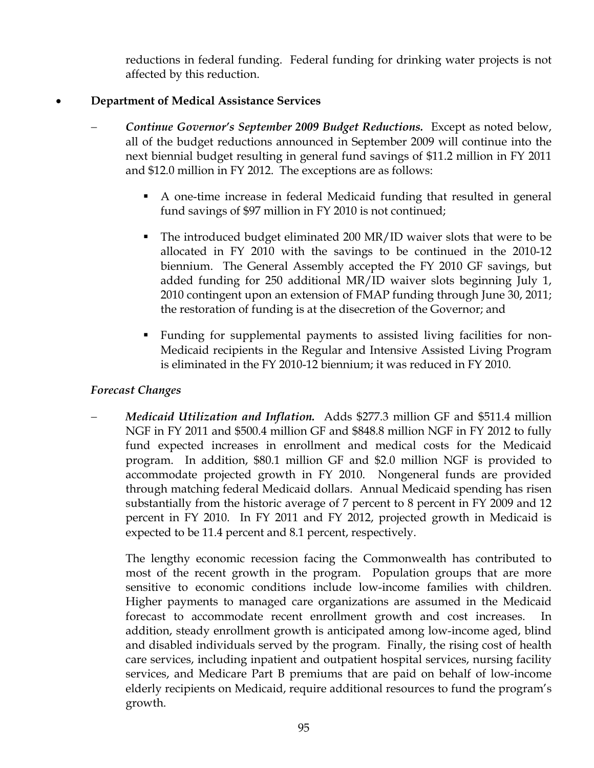reductions in federal funding. Federal funding for drinking water projects is not affected by this reduction.

## • **Department of Medical Assistance Services**

- − *Continue Governor's September 2009 Budget Reductions.* Except as noted below, all of the budget reductions announced in September 2009 will continue into the next biennial budget resulting in general fund savings of \$11.2 million in FY 2011 and \$12.0 million in FY 2012. The exceptions are as follows:
	- A one-time increase in federal Medicaid funding that resulted in general fund savings of \$97 million in FY 2010 is not continued;
	- The introduced budget eliminated 200 MR/ID waiver slots that were to be allocated in FY 2010 with the savings to be continued in the 2010-12 biennium. The General Assembly accepted the FY 2010 GF savings, but added funding for 250 additional MR/ID waiver slots beginning July 1, 2010 contingent upon an extension of FMAP funding through June 30, 2011; the restoration of funding is at the disecretion of the Governor; and
	- Funding for supplemental payments to assisted living facilities for non-Medicaid recipients in the Regular and Intensive Assisted Living Program is eliminated in the FY 2010-12 biennium; it was reduced in FY 2010.

## *Forecast Changes*

− *Medicaid Utilization and Inflation.* Adds \$277.3 million GF and \$511.4 million NGF in FY 2011 and \$500.4 million GF and \$848.8 million NGF in FY 2012 to fully fund expected increases in enrollment and medical costs for the Medicaid program. In addition, \$80.1 million GF and \$2.0 million NGF is provided to accommodate projected growth in FY 2010. Nongeneral funds are provided through matching federal Medicaid dollars. Annual Medicaid spending has risen substantially from the historic average of 7 percent to 8 percent in FY 2009 and 12 percent in FY 2010. In FY 2011 and FY 2012, projected growth in Medicaid is expected to be 11.4 percent and 8.1 percent, respectively.

The lengthy economic recession facing the Commonwealth has contributed to most of the recent growth in the program. Population groups that are more sensitive to economic conditions include low-income families with children. Higher payments to managed care organizations are assumed in the Medicaid forecast to accommodate recent enrollment growth and cost increases. In addition, steady enrollment growth is anticipated among low-income aged, blind and disabled individuals served by the program. Finally, the rising cost of health care services, including inpatient and outpatient hospital services, nursing facility services, and Medicare Part B premiums that are paid on behalf of low-income elderly recipients on Medicaid, require additional resources to fund the program's growth.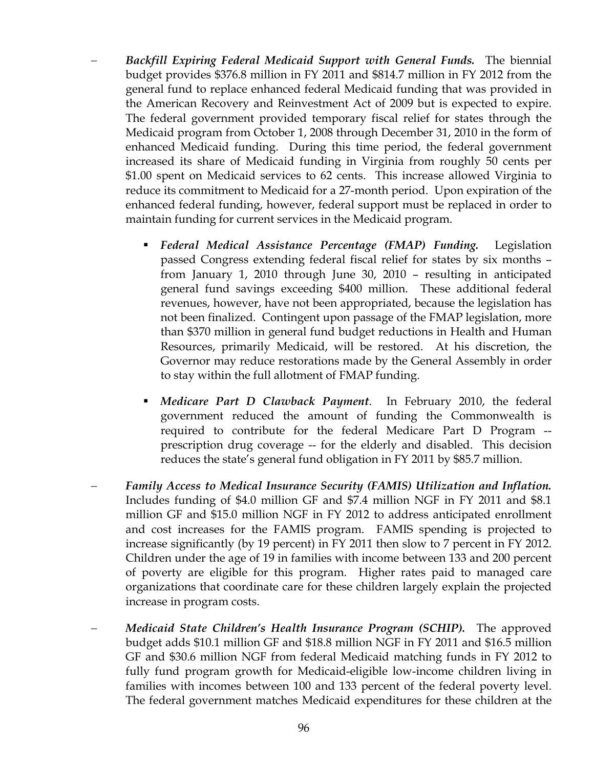- − *Backfill Expiring Federal Medicaid Support with General Funds.* The biennial budget provides \$376.8 million in FY 2011 and \$814.7 million in FY 2012 from the general fund to replace enhanced federal Medicaid funding that was provided in the American Recovery and Reinvestment Act of 2009 but is expected to expire. The federal government provided temporary fiscal relief for states through the Medicaid program from October 1, 2008 through December 31, 2010 in the form of enhanced Medicaid funding. During this time period, the federal government increased its share of Medicaid funding in Virginia from roughly 50 cents per \$1.00 spent on Medicaid services to 62 cents. This increase allowed Virginia to reduce its commitment to Medicaid for a 27-month period. Upon expiration of the enhanced federal funding, however, federal support must be replaced in order to maintain funding for current services in the Medicaid program.
	- *Federal Medical Assistance Percentage (FMAP) Funding.* Legislation passed Congress extending federal fiscal relief for states by six months – from January 1, 2010 through June 30, 2010 – resulting in anticipated general fund savings exceeding \$400 million. These additional federal revenues, however, have not been appropriated, because the legislation has not been finalized. Contingent upon passage of the FMAP legislation, more than \$370 million in general fund budget reductions in Health and Human Resources, primarily Medicaid, will be restored. At his discretion, the Governor may reduce restorations made by the General Assembly in order to stay within the full allotment of FMAP funding.
	- *Medicare Part D Clawback Payment*. In February 2010, the federal government reduced the amount of funding the Commonwealth is required to contribute for the federal Medicare Part D Program - prescription drug coverage -- for the elderly and disabled. This decision reduces the state's general fund obligation in FY 2011 by \$85.7 million.
- − *Family Access to Medical Insurance Security (FAMIS) Utilization and Inflation.* Includes funding of \$4.0 million GF and \$7.4 million NGF in FY 2011 and \$8.1 million GF and \$15.0 million NGF in FY 2012 to address anticipated enrollment and cost increases for the FAMIS program. FAMIS spending is projected to increase significantly (by 19 percent) in FY 2011 then slow to 7 percent in FY 2012. Children under the age of 19 in families with income between 133 and 200 percent of poverty are eligible for this program. Higher rates paid to managed care organizations that coordinate care for these children largely explain the projected increase in program costs.
- − *Medicaid State Children's Health Insurance Program (SCHIP).* The approved budget adds \$10.1 million GF and \$18.8 million NGF in FY 2011 and \$16.5 million GF and \$30.6 million NGF from federal Medicaid matching funds in FY 2012 to fully fund program growth for Medicaid-eligible low-income children living in families with incomes between 100 and 133 percent of the federal poverty level. The federal government matches Medicaid expenditures for these children at the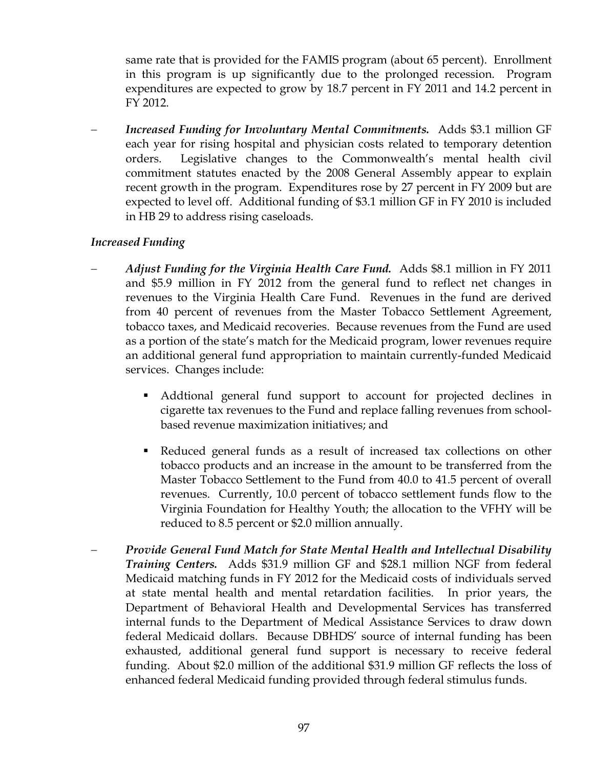same rate that is provided for the FAMIS program (about 65 percent). Enrollment in this program is up significantly due to the prolonged recession. Program expenditures are expected to grow by 18.7 percent in FY 2011 and 14.2 percent in FY 2012.

− *Increased Funding for Involuntary Mental Commitments.* Adds \$3.1 million GF each year for rising hospital and physician costs related to temporary detention orders. Legislative changes to the Commonwealth's mental health civil commitment statutes enacted by the 2008 General Assembly appear to explain recent growth in the program. Expenditures rose by 27 percent in FY 2009 but are expected to level off. Additional funding of \$3.1 million GF in FY 2010 is included in HB 29 to address rising caseloads.

## *Increased Funding*

- *Adjust Funding for the Virginia Health Care Fund.* Adds \$8.1 million in FY 2011 and \$5.9 million in FY 2012 from the general fund to reflect net changes in revenues to the Virginia Health Care Fund. Revenues in the fund are derived from 40 percent of revenues from the Master Tobacco Settlement Agreement, tobacco taxes, and Medicaid recoveries. Because revenues from the Fund are used as a portion of the state's match for the Medicaid program, lower revenues require an additional general fund appropriation to maintain currently-funded Medicaid services. Changes include:
	- Addtional general fund support to account for projected declines in cigarette tax revenues to the Fund and replace falling revenues from schoolbased revenue maximization initiatives; and
	- Reduced general funds as a result of increased tax collections on other tobacco products and an increase in the amount to be transferred from the Master Tobacco Settlement to the Fund from 40.0 to 41.5 percent of overall revenues. Currently, 10.0 percent of tobacco settlement funds flow to the Virginia Foundation for Healthy Youth; the allocation to the VFHY will be reduced to 8.5 percent or \$2.0 million annually.
- − *Provide General Fund Match for State Mental Health and Intellectual Disability Training Centers.* Adds \$31.9 million GF and \$28.1 million NGF from federal Medicaid matching funds in FY 2012 for the Medicaid costs of individuals served at state mental health and mental retardation facilities. In prior years, the Department of Behavioral Health and Developmental Services has transferred internal funds to the Department of Medical Assistance Services to draw down federal Medicaid dollars. Because DBHDS' source of internal funding has been exhausted, additional general fund support is necessary to receive federal funding. About \$2.0 million of the additional \$31.9 million GF reflects the loss of enhanced federal Medicaid funding provided through federal stimulus funds.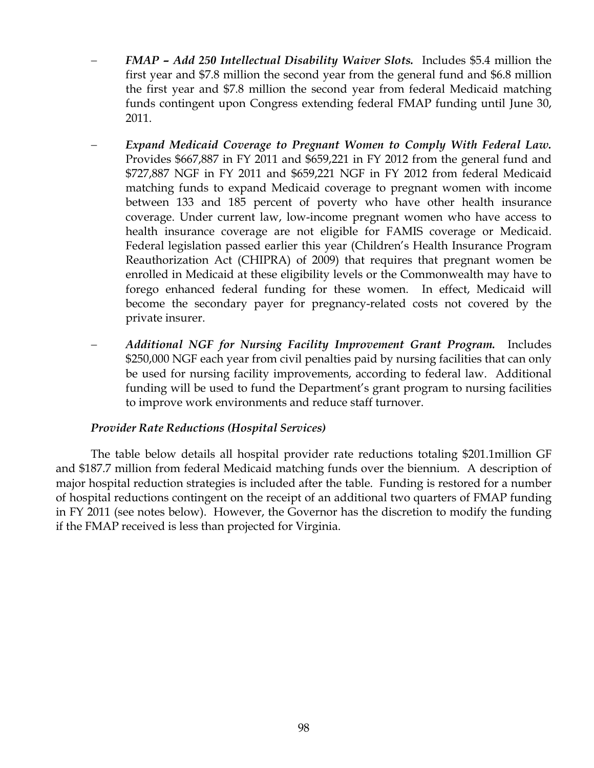- − *FMAP Add 250 Intellectual Disability Waiver Slots.* Includes \$5.4 million the first year and \$7.8 million the second year from the general fund and \$6.8 million the first year and \$7.8 million the second year from federal Medicaid matching funds contingent upon Congress extending federal FMAP funding until June 30, 2011.
- − *Expand Medicaid Coverage to Pregnant Women to Comply With Federal Law.*  Provides \$667,887 in FY 2011 and \$659,221 in FY 2012 from the general fund and \$727,887 NGF in FY 2011 and \$659,221 NGF in FY 2012 from federal Medicaid matching funds to expand Medicaid coverage to pregnant women with income between 133 and 185 percent of poverty who have other health insurance coverage. Under current law, low-income pregnant women who have access to health insurance coverage are not eligible for FAMIS coverage or Medicaid. Federal legislation passed earlier this year (Children's Health Insurance Program Reauthorization Act (CHIPRA) of 2009) that requires that pregnant women be enrolled in Medicaid at these eligibility levels or the Commonwealth may have to forego enhanced federal funding for these women. In effect, Medicaid will become the secondary payer for pregnancy-related costs not covered by the private insurer.
- − *Additional NGF for Nursing Facility Improvement Grant Program.* Includes \$250,000 NGF each year from civil penalties paid by nursing facilities that can only be used for nursing facility improvements, according to federal law. Additional funding will be used to fund the Department's grant program to nursing facilities to improve work environments and reduce staff turnover.

## *Provider Rate Reductions (Hospital Services)*

The table below details all hospital provider rate reductions totaling \$201.1million GF and \$187.7 million from federal Medicaid matching funds over the biennium. A description of major hospital reduction strategies is included after the table. Funding is restored for a number of hospital reductions contingent on the receipt of an additional two quarters of FMAP funding in FY 2011 (see notes below). However, the Governor has the discretion to modify the funding if the FMAP received is less than projected for Virginia.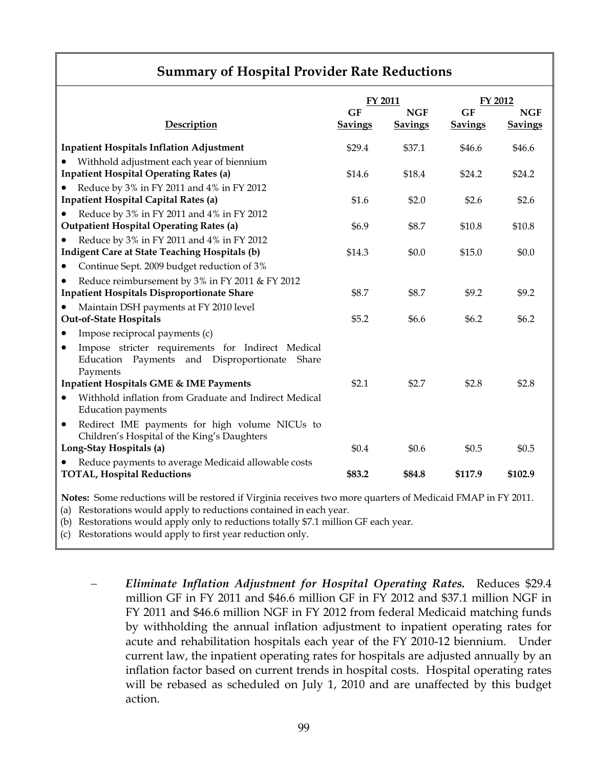|                                                                                                                     | FY 2011                     |                              | FY 2012                     |                              |
|---------------------------------------------------------------------------------------------------------------------|-----------------------------|------------------------------|-----------------------------|------------------------------|
| Description                                                                                                         | <b>GF</b><br><b>Savings</b> | <b>NGF</b><br><b>Savings</b> | <b>GF</b><br><b>Savings</b> | <b>NGF</b><br><b>Savings</b> |
| <b>Inpatient Hospitals Inflation Adjustment</b>                                                                     | \$29.4                      | \$37.1                       | \$46.6                      | \$46.6                       |
| Withhold adjustment each year of biennium                                                                           |                             |                              |                             |                              |
| <b>Inpatient Hospital Operating Rates (a)</b>                                                                       | \$14.6                      | \$18.4                       | \$24.2                      | \$24.2                       |
| Reduce by 3% in FY 2011 and 4% in FY 2012                                                                           |                             |                              |                             |                              |
| <b>Inpatient Hospital Capital Rates (a)</b>                                                                         | \$1.6                       | \$2.0                        | \$2.6                       | \$2.6                        |
| Reduce by 3% in FY 2011 and 4% in FY 2012                                                                           |                             |                              |                             |                              |
| <b>Outpatient Hospital Operating Rates (a)</b>                                                                      | \$6.9                       | \$8.7                        | \$10.8                      | \$10.8                       |
| Reduce by 3% in FY 2011 and 4% in FY 2012                                                                           |                             |                              |                             |                              |
| <b>Indigent Care at State Teaching Hospitals (b)</b>                                                                | \$14.3                      | \$0.0                        | \$15.0                      | \$0.0                        |
| Continue Sept. 2009 budget reduction of 3%                                                                          |                             |                              |                             |                              |
| Reduce reimbursement by 3% in FY 2011 & FY 2012                                                                     |                             |                              |                             |                              |
| <b>Inpatient Hospitals Disproportionate Share</b>                                                                   | \$8.7                       | \$8.7                        | \$9.2                       | \$9.2                        |
| Maintain DSH payments at FY 2010 level                                                                              |                             |                              |                             |                              |
| <b>Out-of-State Hospitals</b>                                                                                       | \$5.2                       | \$6.6                        | \$6.2                       | \$6.2                        |
| Impose reciprocal payments (c)<br>٠                                                                                 |                             |                              |                             |                              |
| Impose stricter requirements for Indirect Medical<br>٠<br>Education Payments and Disproportionate Share<br>Payments |                             |                              |                             |                              |
| Inpatient Hospitals GME & IME Payments                                                                              | \$2.1                       | \$2.7                        | \$2.8                       | \$2.8                        |
| Withhold inflation from Graduate and Indirect Medical<br><b>Education payments</b>                                  |                             |                              |                             |                              |
| Redirect IME payments for high volume NICUs to<br>$\bullet$<br>Children's Hospital of the King's Daughters          |                             |                              |                             |                              |
| Long-Stay Hospitals (a)                                                                                             | \$0.4                       | \$0.6                        | \$0.5                       | \$0.5                        |
| Reduce payments to average Medicaid allowable costs<br><b>TOTAL, Hospital Reductions</b>                            | \$83.2                      | \$84.8                       | \$117.9                     | \$102.9                      |

#### (b) Restorations would apply only to reductions totally \$7.1 million GF each year.

(c) Restorations would apply to first year reduction only.

− *Eliminate Inflation Adjustment for Hospital Operating Rates.* Reduces \$29.4 million GF in FY 2011 and \$46.6 million GF in FY 2012 and \$37.1 million NGF in FY 2011 and \$46.6 million NGF in FY 2012 from federal Medicaid matching funds by withholding the annual inflation adjustment to inpatient operating rates for acute and rehabilitation hospitals each year of the FY 2010-12 biennium. Under current law, the inpatient operating rates for hospitals are adjusted annually by an inflation factor based on current trends in hospital costs. Hospital operating rates will be rebased as scheduled on July 1, 2010 and are unaffected by this budget action.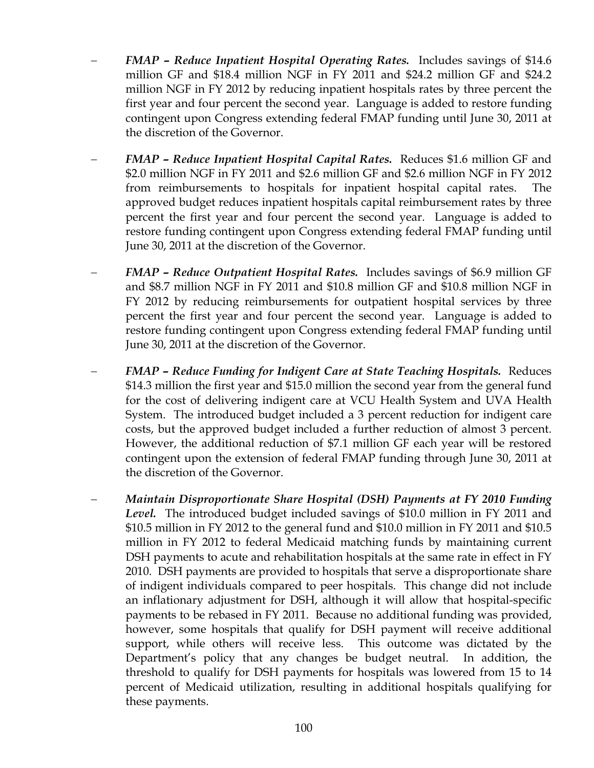- − *FMAP Reduce Inpatient Hospital Operating Rates.* Includes savings of \$14.6 million GF and \$18.4 million NGF in FY 2011 and \$24.2 million GF and \$24.2 million NGF in FY 2012 by reducing inpatient hospitals rates by three percent the first year and four percent the second year. Language is added to restore funding contingent upon Congress extending federal FMAP funding until June 30, 2011 at the discretion of the Governor.
- − *FMAP Reduce Inpatient Hospital Capital Rates.* Reduces \$1.6 million GF and \$2.0 million NGF in FY 2011 and \$2.6 million GF and \$2.6 million NGF in FY 2012 from reimbursements to hospitals for inpatient hospital capital rates. The approved budget reduces inpatient hospitals capital reimbursement rates by three percent the first year and four percent the second year. Language is added to restore funding contingent upon Congress extending federal FMAP funding until June 30, 2011 at the discretion of the Governor.
- − *FMAP Reduce Outpatient Hospital Rates.* Includes savings of \$6.9 million GF and \$8.7 million NGF in FY 2011 and \$10.8 million GF and \$10.8 million NGF in FY 2012 by reducing reimbursements for outpatient hospital services by three percent the first year and four percent the second year. Language is added to restore funding contingent upon Congress extending federal FMAP funding until June 30, 2011 at the discretion of the Governor.
- − *FMAP Reduce Funding for Indigent Care at State Teaching Hospitals.* Reduces \$14.3 million the first year and \$15.0 million the second year from the general fund for the cost of delivering indigent care at VCU Health System and UVA Health System. The introduced budget included a 3 percent reduction for indigent care costs, but the approved budget included a further reduction of almost 3 percent. However, the additional reduction of \$7.1 million GF each year will be restored contingent upon the extension of federal FMAP funding through June 30, 2011 at the discretion of the Governor.
- − *Maintain Disproportionate Share Hospital (DSH) Payments at FY 2010 Funding Level.* The introduced budget included savings of \$10.0 million in FY 2011 and \$10.5 million in FY 2012 to the general fund and \$10.0 million in FY 2011 and \$10.5 million in FY 2012 to federal Medicaid matching funds by maintaining current DSH payments to acute and rehabilitation hospitals at the same rate in effect in FY 2010. DSH payments are provided to hospitals that serve a disproportionate share of indigent individuals compared to peer hospitals. This change did not include an inflationary adjustment for DSH, although it will allow that hospital-specific payments to be rebased in FY 2011. Because no additional funding was provided, however, some hospitals that qualify for DSH payment will receive additional support, while others will receive less. This outcome was dictated by the Department's policy that any changes be budget neutral. In addition, the threshold to qualify for DSH payments for hospitals was lowered from 15 to 14 percent of Medicaid utilization, resulting in additional hospitals qualifying for these payments.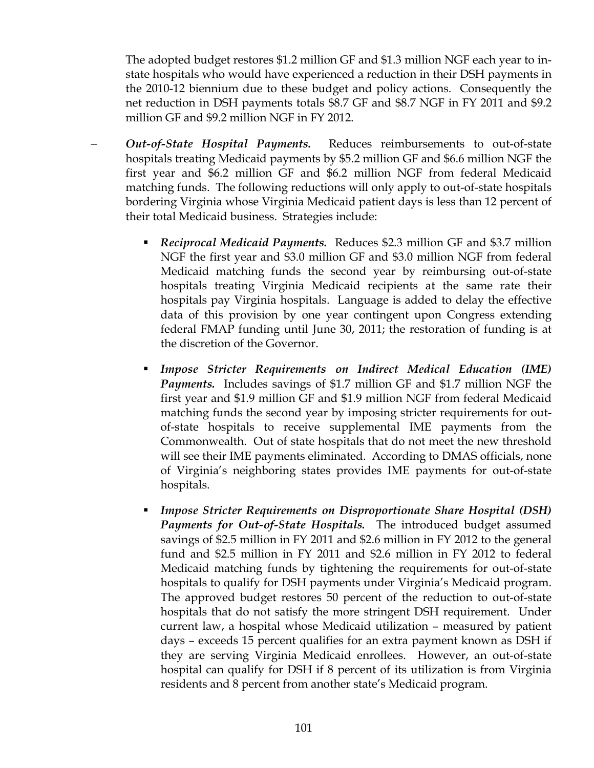The adopted budget restores \$1.2 million GF and \$1.3 million NGF each year to instate hospitals who would have experienced a reduction in their DSH payments in the 2010-12 biennium due to these budget and policy actions. Consequently the net reduction in DSH payments totals \$8.7 GF and \$8.7 NGF in FY 2011 and \$9.2 million GF and \$9.2 million NGF in FY 2012.

- − *Out-of-State Hospital Payments.* Reduces reimbursements to out-of-state hospitals treating Medicaid payments by \$5.2 million GF and \$6.6 million NGF the first year and \$6.2 million GF and \$6.2 million NGF from federal Medicaid matching funds. The following reductions will only apply to out-of-state hospitals bordering Virginia whose Virginia Medicaid patient days is less than 12 percent of their total Medicaid business. Strategies include:
	- *Reciprocal Medicaid Payments.* Reduces \$2.3 million GF and \$3.7 million NGF the first year and \$3.0 million GF and \$3.0 million NGF from federal Medicaid matching funds the second year by reimbursing out-of-state hospitals treating Virginia Medicaid recipients at the same rate their hospitals pay Virginia hospitals. Language is added to delay the effective data of this provision by one year contingent upon Congress extending federal FMAP funding until June 30, 2011; the restoration of funding is at the discretion of the Governor.
	- *Impose Stricter Requirements on Indirect Medical Education (IME) Payments.*Includes savings of \$1.7 million GF and \$1.7 million NGF the first year and \$1.9 million GF and \$1.9 million NGF from federal Medicaid matching funds the second year by imposing stricter requirements for outof-state hospitals to receive supplemental IME payments from the Commonwealth. Out of state hospitals that do not meet the new threshold will see their IME payments eliminated. According to DMAS officials, none of Virginia's neighboring states provides IME payments for out-of-state hospitals.
	- *Impose Stricter Requirements on Disproportionate Share Hospital (DSH) Payments for Out-of-State Hospitals.* The introduced budget assumed savings of \$2.5 million in FY 2011 and \$2.6 million in FY 2012 to the general fund and \$2.5 million in FY 2011 and \$2.6 million in FY 2012 to federal Medicaid matching funds by tightening the requirements for out-of-state hospitals to qualify for DSH payments under Virginia's Medicaid program. The approved budget restores 50 percent of the reduction to out-of-state hospitals that do not satisfy the more stringent DSH requirement. Under current law, a hospital whose Medicaid utilization – measured by patient days – exceeds 15 percent qualifies for an extra payment known as DSH if they are serving Virginia Medicaid enrollees. However, an out-of-state hospital can qualify for DSH if 8 percent of its utilization is from Virginia residents and 8 percent from another state's Medicaid program.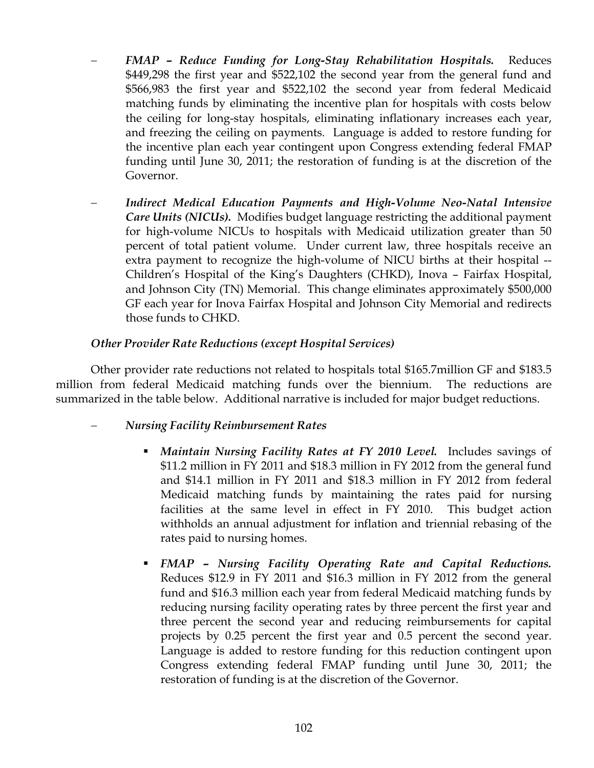- − *FMAP Reduce Funding for Long-Stay Rehabilitation Hospitals.* Reduces \$449,298 the first year and \$522,102 the second year from the general fund and \$566,983 the first year and \$522,102 the second year from federal Medicaid matching funds by eliminating the incentive plan for hospitals with costs below the ceiling for long-stay hospitals, eliminating inflationary increases each year, and freezing the ceiling on payments. Language is added to restore funding for the incentive plan each year contingent upon Congress extending federal FMAP funding until June 30, 2011; the restoration of funding is at the discretion of the Governor.
- − *Indirect Medical Education Payments and High-Volume Neo-Natal Intensive Care Units (NICUs).* Modifies budget language restricting the additional payment for high-volume NICUs to hospitals with Medicaid utilization greater than 50 percent of total patient volume. Under current law, three hospitals receive an extra payment to recognize the high-volume of NICU births at their hospital -- Children's Hospital of the King's Daughters (CHKD), Inova – Fairfax Hospital, and Johnson City (TN) Memorial. This change eliminates approximately \$500,000 GF each year for Inova Fairfax Hospital and Johnson City Memorial and redirects those funds to CHKD.

## *Other Provider Rate Reductions (except Hospital Services)*

Other provider rate reductions not related to hospitals total \$165.7million GF and \$183.5 million from federal Medicaid matching funds over the biennium. The reductions are summarized in the table below. Additional narrative is included for major budget reductions.

## − *Nursing Facility Reimbursement Rates*

- *Maintain Nursing Facility Rates at FY 2010 Level.* Includes savings of \$11.2 million in FY 2011 and \$18.3 million in FY 2012 from the general fund and \$14.1 million in FY 2011 and \$18.3 million in FY 2012 from federal Medicaid matching funds by maintaining the rates paid for nursing facilities at the same level in effect in FY 2010. This budget action withholds an annual adjustment for inflation and triennial rebasing of the rates paid to nursing homes.
- *FMAP Nursing Facility Operating Rate and Capital Reductions.* Reduces \$12.9 in FY 2011 and \$16.3 million in FY 2012 from the general fund and \$16.3 million each year from federal Medicaid matching funds by reducing nursing facility operating rates by three percent the first year and three percent the second year and reducing reimbursements for capital projects by 0.25 percent the first year and 0.5 percent the second year. Language is added to restore funding for this reduction contingent upon Congress extending federal FMAP funding until June 30, 2011; the restoration of funding is at the discretion of the Governor.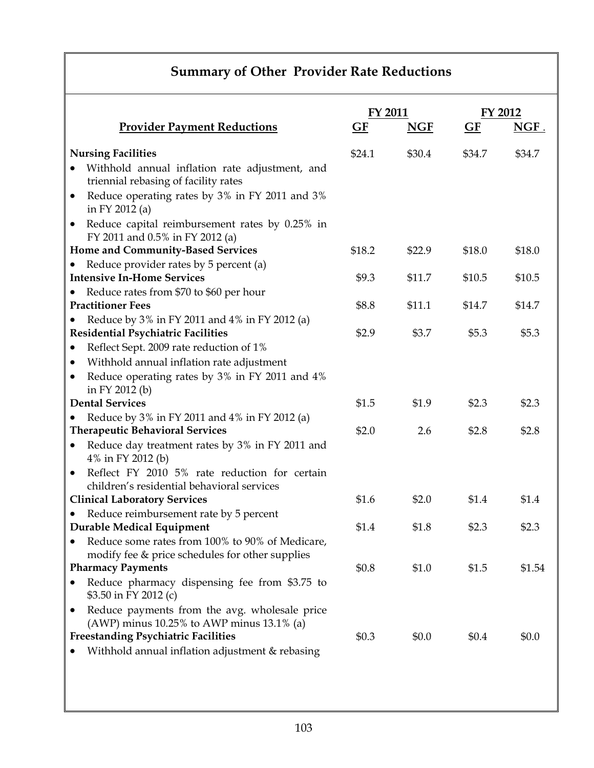# **Summary of Other Provider Rate Reductions**

|           |                                                                                                    | <b>FY 2011</b> |            | FY 2012 |         |
|-----------|----------------------------------------------------------------------------------------------------|----------------|------------|---------|---------|
|           | <b>Provider Payment Reductions</b>                                                                 | GF             | <b>NGF</b> | GF      | $NGF$ . |
|           | <b>Nursing Facilities</b>                                                                          | \$24.1         | \$30.4     | \$34.7  | \$34.7  |
| $\bullet$ | Withhold annual inflation rate adjustment, and                                                     |                |            |         |         |
|           | triennial rebasing of facility rates                                                               |                |            |         |         |
| $\bullet$ | Reduce operating rates by 3% in FY 2011 and 3%<br>in FY 2012 (a)                                   |                |            |         |         |
| $\bullet$ | Reduce capital reimbursement rates by 0.25% in<br>FY 2011 and 0.5% in FY 2012 (a)                  |                |            |         |         |
|           | Home and Community-Based Services                                                                  | \$18.2         | \$22.9     | \$18.0  | \$18.0  |
|           | Reduce provider rates by 5 percent (a)                                                             |                |            |         |         |
|           | <b>Intensive In-Home Services</b>                                                                  | \$9.3          | \$11.7     | \$10.5  | \$10.5  |
|           | Reduce rates from \$70 to \$60 per hour                                                            |                |            |         |         |
|           | <b>Practitioner Fees</b>                                                                           | \$8.8          | \$11.1     | \$14.7  | \$14.7  |
|           | Reduce by 3% in FY 2011 and 4% in FY 2012 (a)                                                      |                |            |         |         |
|           | <b>Residential Psychiatric Facilities</b>                                                          | \$2.9          | \$3.7      | \$5.3   | \$5.3   |
| $\bullet$ | Reflect Sept. 2009 rate reduction of 1%                                                            |                |            |         |         |
| $\bullet$ | Withhold annual inflation rate adjustment                                                          |                |            |         |         |
| $\bullet$ | Reduce operating rates by 3% in FY 2011 and 4%<br>in FY 2012 (b)                                   |                |            |         |         |
|           | <b>Dental Services</b>                                                                             | \$1.5          | \$1.9      | \$2.3   | \$2.3   |
|           | Reduce by 3% in FY 2011 and 4% in FY 2012 (a)                                                      |                |            |         |         |
|           | <b>Therapeutic Behavioral Services</b>                                                             | \$2.0          | 2.6        | \$2.8   | \$2.8   |
|           | Reduce day treatment rates by 3% in FY 2011 and<br>4% in FY 2012 (b)                               |                |            |         |         |
| $\bullet$ | Reflect FY 2010 5% rate reduction for certain<br>children's residential behavioral services        |                |            |         |         |
|           | <b>Clinical Laboratory Services</b>                                                                | \$1.6          | \$2.0      | \$1.4   | \$1.4   |
|           | Reduce reimbursement rate by 5 percent                                                             |                |            |         |         |
|           | <b>Durable Medical Equipment</b>                                                                   | \$1.4          | \$1.8      | \$2.3   | \$2.3   |
|           | Reduce some rates from 100% to 90% of Medicare,<br>modify fee & price schedules for other supplies |                |            |         |         |
|           | <b>Pharmacy Payments</b>                                                                           | \$0.8          | \$1.0      | \$1.5   | \$1.54  |
|           | Reduce pharmacy dispensing fee from \$3.75 to<br>\$3.50 in FY 2012 (c)                             |                |            |         |         |
| $\bullet$ | Reduce payments from the avg. wholesale price<br>(AWP) minus $10.25%$ to AWP minus $13.1%$ (a)     |                |            |         |         |
|           | <b>Freestanding Psychiatric Facilities</b>                                                         | \$0.3          | \$0.0      | \$0.4   | \$0.0   |
|           | Withhold annual inflation adjustment & rebasing                                                    |                |            |         |         |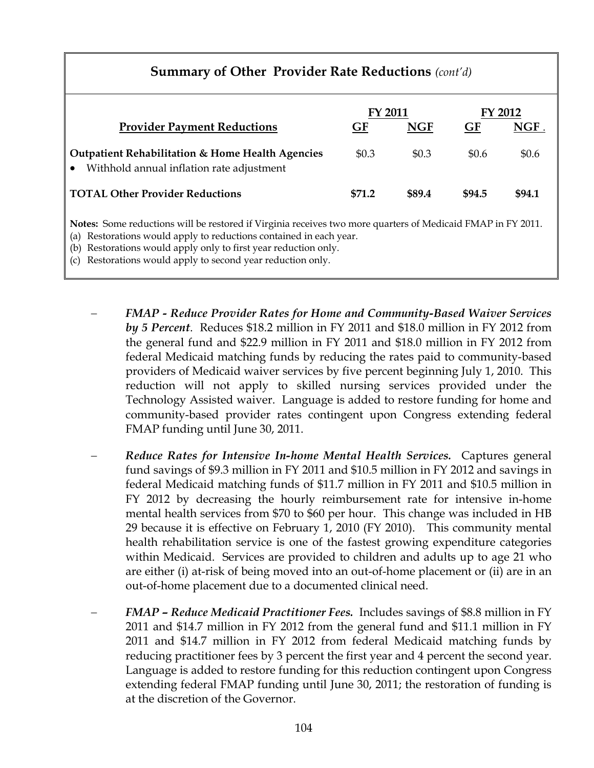# **Summary of Other Provider Rate Reductions** *(cont'd)*  **FY 2011 FY 2012 Provider Payment Reductions 6 GF GF GF NGF. Outpatient Rehabilitation & Home Health Agencies**  • Withhold annual inflation rate adjustment  $$0.3$   $$0.3$   $$0.6$   $$0.6$ **TOTAL Other Provider Reductions \$71.2 \$89.4 \$94.5 \$94.1 Notes:** Some reductions will be restored if Virginia receives two more quarters of Medicaid FMAP in FY 2011. (a) Restorations would apply to reductions contained in each year. (b) Restorations would apply only to first year reduction only.

(c) Restorations would apply to second year reduction only.

- − *FMAP Reduce Provider Rates for Home and Community-Based Waiver Services by 5 Percent*. Reduces \$18.2 million in FY 2011 and \$18.0 million in FY 2012 from the general fund and \$22.9 million in FY 2011 and \$18.0 million in FY 2012 from federal Medicaid matching funds by reducing the rates paid to community-based providers of Medicaid waiver services by five percent beginning July 1, 2010. This reduction will not apply to skilled nursing services provided under the Technology Assisted waiver. Language is added to restore funding for home and community-based provider rates contingent upon Congress extending federal FMAP funding until June 30, 2011.
- − *Reduce Rates for Intensive In-home Mental Health Services.* Captures general fund savings of \$9.3 million in FY 2011 and \$10.5 million in FY 2012 and savings in federal Medicaid matching funds of \$11.7 million in FY 2011 and \$10.5 million in FY 2012 by decreasing the hourly reimbursement rate for intensive in-home mental health services from \$70 to \$60 per hour. This change was included in HB 29 because it is effective on February 1, 2010 (FY 2010). This community mental health rehabilitation service is one of the fastest growing expenditure categories within Medicaid. Services are provided to children and adults up to age 21 who are either (i) at-risk of being moved into an out-of-home placement or (ii) are in an out-of-home placement due to a documented clinical need.
- − *FMAP Reduce Medicaid Practitioner Fees.* Includes savings of \$8.8 million in FY 2011 and \$14.7 million in FY 2012 from the general fund and \$11.1 million in FY 2011 and \$14.7 million in FY 2012 from federal Medicaid matching funds by reducing practitioner fees by 3 percent the first year and 4 percent the second year. Language is added to restore funding for this reduction contingent upon Congress extending federal FMAP funding until June 30, 2011; the restoration of funding is at the discretion of the Governor.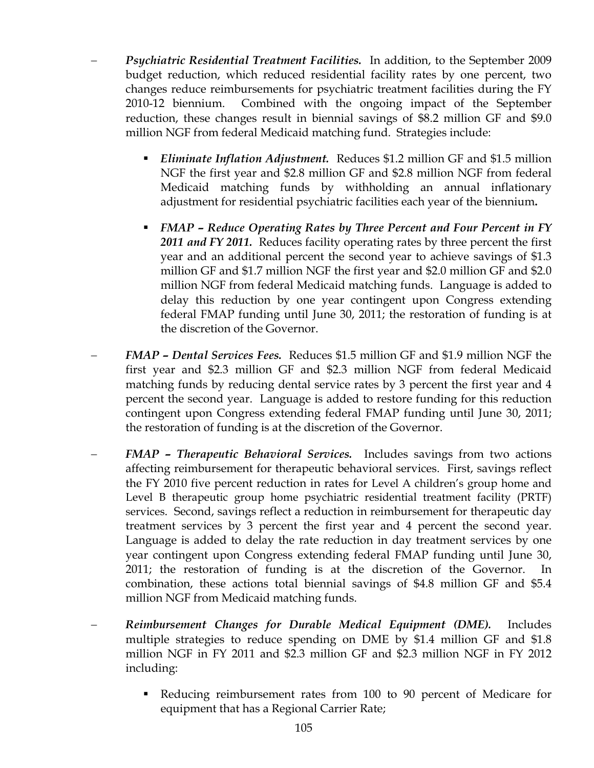- − *Psychiatric Residential Treatment Facilities.* In addition, to the September 2009 budget reduction, which reduced residential facility rates by one percent, two changes reduce reimbursements for psychiatric treatment facilities during the FY 2010-12 biennium. Combined with the ongoing impact of the September reduction, these changes result in biennial savings of \$8.2 million GF and \$9.0 million NGF from federal Medicaid matching fund. Strategies include:
	- **Eliminate Inflation Adjustment.** Reduces \$1.2 million GF and \$1.5 million NGF the first year and \$2.8 million GF and \$2.8 million NGF from federal Medicaid matching funds by withholding an annual inflationary adjustment for residential psychiatric facilities each year of the biennium**.**
	- *FMAP Reduce Operating Rates by Three Percent and Four Percent in FY 2011 and FY 2011.*Reduces facility operating rates by three percent the first year and an additional percent the second year to achieve savings of \$1.3 million GF and \$1.7 million NGF the first year and \$2.0 million GF and \$2.0 million NGF from federal Medicaid matching funds. Language is added to delay this reduction by one year contingent upon Congress extending federal FMAP funding until June 30, 2011; the restoration of funding is at the discretion of the Governor.
- − *FMAP Dental Services Fees.* Reduces \$1.5 million GF and \$1.9 million NGF the first year and \$2.3 million GF and \$2.3 million NGF from federal Medicaid matching funds by reducing dental service rates by 3 percent the first year and 4 percent the second year. Language is added to restore funding for this reduction contingent upon Congress extending federal FMAP funding until June 30, 2011; the restoration of funding is at the discretion of the Governor.
- − *FMAP Therapeutic Behavioral Services.* Includes savings from two actions affecting reimbursement for therapeutic behavioral services. First, savings reflect the FY 2010 five percent reduction in rates for Level A children's group home and Level B therapeutic group home psychiatric residential treatment facility (PRTF) services. Second, savings reflect a reduction in reimbursement for therapeutic day treatment services by 3 percent the first year and 4 percent the second year. Language is added to delay the rate reduction in day treatment services by one year contingent upon Congress extending federal FMAP funding until June 30, 2011; the restoration of funding is at the discretion of the Governor. In combination, these actions total biennial savings of \$4.8 million GF and \$5.4 million NGF from Medicaid matching funds.
- − *Reimbursement Changes for Durable Medical Equipment (DME).* Includes multiple strategies to reduce spending on DME by \$1.4 million GF and \$1.8 million NGF in FY 2011 and \$2.3 million GF and \$2.3 million NGF in FY 2012 including:
	- Reducing reimbursement rates from 100 to 90 percent of Medicare for equipment that has a Regional Carrier Rate;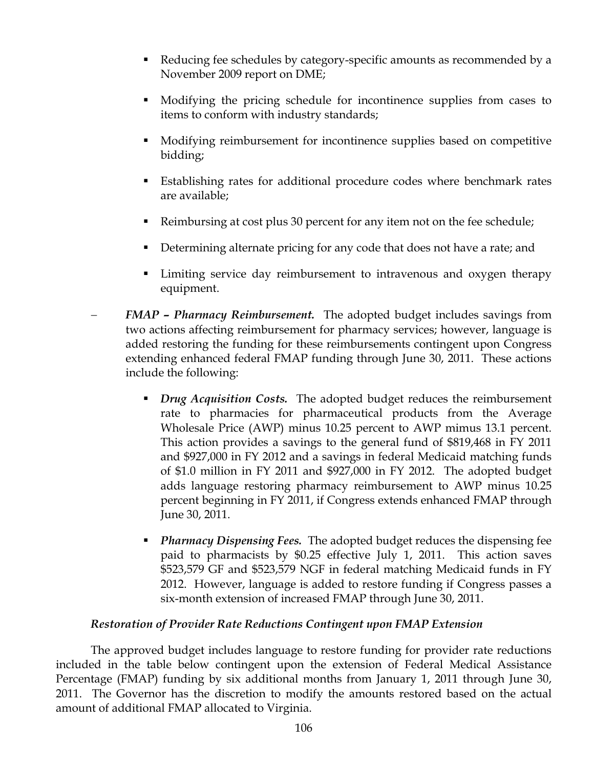- Reducing fee schedules by category-specific amounts as recommended by a November 2009 report on DME;
- Modifying the pricing schedule for incontinence supplies from cases to items to conform with industry standards;
- Modifying reimbursement for incontinence supplies based on competitive bidding;
- Establishing rates for additional procedure codes where benchmark rates are available;
- Reimbursing at cost plus 30 percent for any item not on the fee schedule;
- Determining alternate pricing for any code that does not have a rate; and
- Limiting service day reimbursement to intravenous and oxygen therapy equipment.
- − *FMAP Pharmacy Reimbursement.* The adopted budget includes savings from two actions affecting reimbursement for pharmacy services; however, language is added restoring the funding for these reimbursements contingent upon Congress extending enhanced federal FMAP funding through June 30, 2011. These actions include the following:
	- **•** *Drug Acquisition Costs.* The adopted budget reduces the reimbursement rate to pharmacies for pharmaceutical products from the Average Wholesale Price (AWP) minus 10.25 percent to AWP mimus 13.1 percent. This action provides a savings to the general fund of \$819,468 in FY 2011 and \$927,000 in FY 2012 and a savings in federal Medicaid matching funds of \$1.0 million in FY 2011 and \$927,000 in FY 2012. The adopted budget adds language restoring pharmacy reimbursement to AWP minus 10.25 percent beginning in FY 2011, if Congress extends enhanced FMAP through June 30, 2011.
	- *Pharmacy Dispensing Fees.* The adopted budget reduces the dispensing fee paid to pharmacists by \$0.25 effective July 1, 2011. This action saves \$523,579 GF and \$523,579 NGF in federal matching Medicaid funds in FY 2012. However, language is added to restore funding if Congress passes a six-month extension of increased FMAP through June 30, 2011.

## *Restoration of Provider Rate Reductions Contingent upon FMAP Extension*

The approved budget includes language to restore funding for provider rate reductions included in the table below contingent upon the extension of Federal Medical Assistance Percentage (FMAP) funding by six additional months from January 1, 2011 through June 30, 2011. The Governor has the discretion to modify the amounts restored based on the actual amount of additional FMAP allocated to Virginia.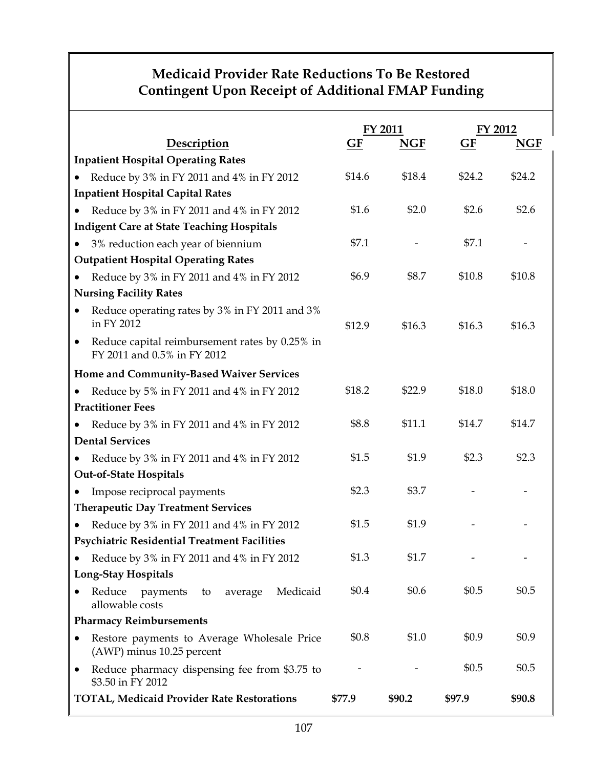# **Medicaid Provider Rate Reductions To Be Restored Contingent Upon Receipt of Additional FMAP Funding**

|                                                                                            | FY 2011 |            | FY 2012   |            |  |  |  |
|--------------------------------------------------------------------------------------------|---------|------------|-----------|------------|--|--|--|
| Description                                                                                | GF      | <b>NGF</b> | <b>GF</b> | <b>NGF</b> |  |  |  |
| <b>Inpatient Hospital Operating Rates</b>                                                  |         |            |           |            |  |  |  |
| Reduce by 3% in FY 2011 and 4% in FY 2012                                                  | \$14.6  | \$18.4     | \$24.2    | \$24.2     |  |  |  |
| <b>Inpatient Hospital Capital Rates</b>                                                    |         |            |           |            |  |  |  |
| Reduce by 3% in FY 2011 and 4% in FY 2012<br>$\bullet$                                     | \$1.6   | \$2.0      | \$2.6     | \$2.6      |  |  |  |
| <b>Indigent Care at State Teaching Hospitals</b>                                           |         |            |           |            |  |  |  |
| 3% reduction each year of biennium<br>$\bullet$                                            | \$7.1   |            | \$7.1     |            |  |  |  |
| <b>Outpatient Hospital Operating Rates</b>                                                 |         |            |           |            |  |  |  |
| Reduce by 3% in FY 2011 and 4% in FY 2012<br>$\bullet$                                     | \$6.9   | \$8.7      | \$10.8    | \$10.8     |  |  |  |
| <b>Nursing Facility Rates</b>                                                              |         |            |           |            |  |  |  |
| Reduce operating rates by 3% in FY 2011 and 3%<br>in FY 2012                               | \$12.9  | \$16.3     | \$16.3    | \$16.3     |  |  |  |
| Reduce capital reimbursement rates by 0.25% in<br>$\bullet$<br>FY 2011 and 0.5% in FY 2012 |         |            |           |            |  |  |  |
| Home and Community-Based Waiver Services                                                   |         |            |           |            |  |  |  |
| Reduce by 5% in FY 2011 and 4% in FY 2012                                                  | \$18.2  | \$22.9     | \$18.0    | \$18.0     |  |  |  |
| <b>Practitioner Fees</b>                                                                   |         |            |           |            |  |  |  |
| Reduce by 3% in FY 2011 and 4% in FY 2012                                                  | \$8.8   | \$11.1     | \$14.7    | \$14.7     |  |  |  |
| <b>Dental Services</b>                                                                     |         |            |           |            |  |  |  |
| Reduce by 3% in FY 2011 and 4% in FY 2012                                                  | \$1.5   | \$1.9      | \$2.3     | \$2.3      |  |  |  |
| <b>Out-of-State Hospitals</b>                                                              |         |            |           |            |  |  |  |
| Impose reciprocal payments                                                                 | \$2.3   | \$3.7      |           |            |  |  |  |
| <b>Therapeutic Day Treatment Services</b>                                                  |         |            |           |            |  |  |  |
| Reduce by 3% in FY 2011 and 4% in FY 2012                                                  | \$1.5   | \$1.9      |           |            |  |  |  |
| <b>Psychiatric Residential Treatment Facilities</b>                                        |         |            |           |            |  |  |  |
| Reduce by 3% in FY 2011 and 4% in FY 2012                                                  | \$1.3   | \$1.7      |           |            |  |  |  |
| <b>Long-Stay Hospitals</b>                                                                 |         |            |           |            |  |  |  |
| Reduce<br>Medicaid<br>payments<br>average<br>to<br>allowable costs                         | \$0.4\$ | \$0.6      | \$0.5     | \$0.5      |  |  |  |
| <b>Pharmacy Reimbursements</b>                                                             |         |            |           |            |  |  |  |
| Restore payments to Average Wholesale Price<br>(AWP) minus 10.25 percent                   | \$0.8   | \$1.0      | \$0.9     | \$0.9      |  |  |  |
| Reduce pharmacy dispensing fee from \$3.75 to<br>$\bullet$<br>\$3.50 in FY 2012            |         |            | \$0.5     | \$0.5      |  |  |  |
| <b>TOTAL, Medicaid Provider Rate Restorations</b>                                          | \$77.9  | \$90.2     | \$97.9    | \$90.8     |  |  |  |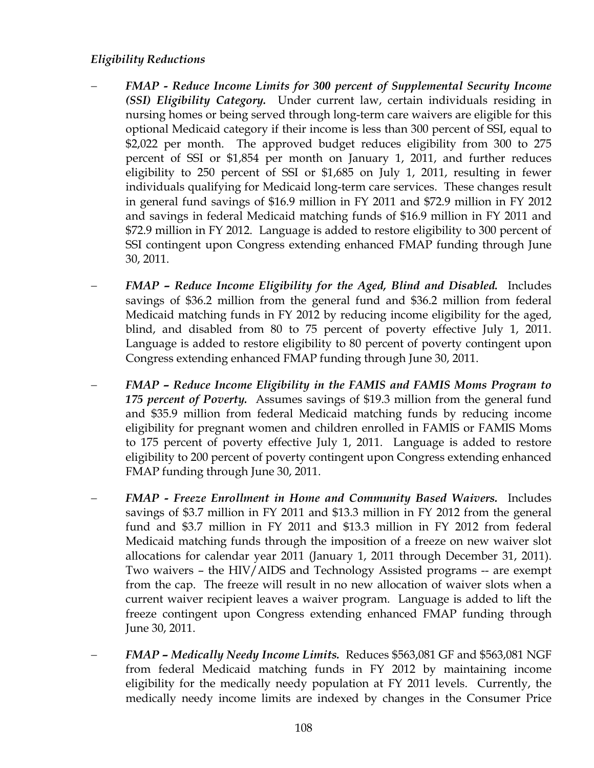## *Eligibility Reductions*

- − *FMAP Reduce Income Limits for 300 percent of Supplemental Security Income (SSI) Eligibility Category.* Under current law, certain individuals residing in nursing homes or being served through long-term care waivers are eligible for this optional Medicaid category if their income is less than 300 percent of SSI, equal to \$2,022 per month. The approved budget reduces eligibility from 300 to 275 percent of SSI or \$1,854 per month on January 1, 2011, and further reduces eligibility to 250 percent of SSI or \$1,685 on July 1, 2011, resulting in fewer individuals qualifying for Medicaid long-term care services. These changes result in general fund savings of \$16.9 million in FY 2011 and \$72.9 million in FY 2012 and savings in federal Medicaid matching funds of \$16.9 million in FY 2011 and \$72.9 million in FY 2012. Language is added to restore eligibility to 300 percent of SSI contingent upon Congress extending enhanced FMAP funding through June 30, 2011.
- − *FMAP Reduce Income Eligibility for the Aged, Blind and Disabled.* Includes savings of \$36.2 million from the general fund and \$36.2 million from federal Medicaid matching funds in FY 2012 by reducing income eligibility for the aged, blind, and disabled from 80 to 75 percent of poverty effective July 1, 2011. Language is added to restore eligibility to 80 percent of poverty contingent upon Congress extending enhanced FMAP funding through June 30, 2011.
- − *FMAP Reduce Income Eligibility in the FAMIS and FAMIS Moms Program to 175 percent of Poverty.* Assumes savings of \$19.3 million from the general fund and \$35.9 million from federal Medicaid matching funds by reducing income eligibility for pregnant women and children enrolled in FAMIS or FAMIS Moms to 175 percent of poverty effective July 1, 2011. Language is added to restore eligibility to 200 percent of poverty contingent upon Congress extending enhanced FMAP funding through June 30, 2011.
- − *FMAP Freeze Enrollment in Home and Community Based Waivers.* Includes savings of \$3.7 million in FY 2011 and \$13.3 million in FY 2012 from the general fund and \$3.7 million in FY 2011 and \$13.3 million in FY 2012 from federal Medicaid matching funds through the imposition of a freeze on new waiver slot allocations for calendar year 2011 (January 1, 2011 through December 31, 2011). Two waivers – the HIV/AIDS and Technology Assisted programs -- are exempt from the cap. The freeze will result in no new allocation of waiver slots when a current waiver recipient leaves a waiver program. Language is added to lift the freeze contingent upon Congress extending enhanced FMAP funding through June 30, 2011.
- − *FMAP Medically Needy Income Limits.* Reduces \$563,081 GF and \$563,081 NGF from federal Medicaid matching funds in FY 2012 by maintaining income eligibility for the medically needy population at FY 2011 levels. Currently, the medically needy income limits are indexed by changes in the Consumer Price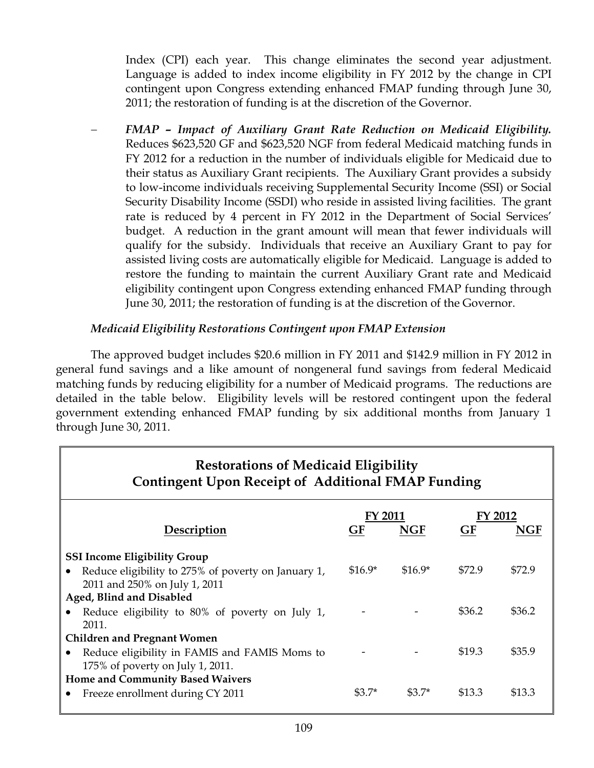Index (CPI) each year. This change eliminates the second year adjustment. Language is added to index income eligibility in FY 2012 by the change in CPI contingent upon Congress extending enhanced FMAP funding through June 30, 2011; the restoration of funding is at the discretion of the Governor.

− *FMAP – Impact of Auxiliary Grant Rate Reduction on Medicaid Eligibility.*  Reduces \$623,520 GF and \$623,520 NGF from federal Medicaid matching funds in FY 2012 for a reduction in the number of individuals eligible for Medicaid due to their status as Auxiliary Grant recipients. The Auxiliary Grant provides a subsidy to low-income individuals receiving Supplemental Security Income (SSI) or Social Security Disability Income (SSDI) who reside in assisted living facilities. The grant rate is reduced by 4 percent in FY 2012 in the Department of Social Services' budget. A reduction in the grant amount will mean that fewer individuals will qualify for the subsidy. Individuals that receive an Auxiliary Grant to pay for assisted living costs are automatically eligible for Medicaid. Language is added to restore the funding to maintain the current Auxiliary Grant rate and Medicaid eligibility contingent upon Congress extending enhanced FMAP funding through June 30, 2011; the restoration of funding is at the discretion of the Governor.

## *Medicaid Eligibility Restorations Contingent upon FMAP Extension*

The approved budget includes \$20.6 million in FY 2011 and \$142.9 million in FY 2012 in general fund savings and a like amount of nongeneral fund savings from federal Medicaid matching funds by reducing eligibility for a number of Medicaid programs. The reductions are detailed in the table below. Eligibility levels will be restored contingent upon the federal government extending enhanced FMAP funding by six additional months from January 1 through June 30, 2011.

| <b>Restorations of Medicaid Eligibility</b><br><b>Contingent Upon Receipt of Additional FMAP Funding</b> |          |            |         |        |
|----------------------------------------------------------------------------------------------------------|----------|------------|---------|--------|
|                                                                                                          | FY 2011  |            | FY 2012 |        |
| Description                                                                                              | GF       | <b>NGF</b> | GF      | NGF    |
| <b>SSI Income Eligibility Group</b>                                                                      |          |            |         |        |
| Reduce eligibility to 275% of poverty on January 1,                                                      | $$16.9*$ | $$16.9*$   | \$72.9  | \$72.9 |
| 2011 and 250% on July 1, 2011                                                                            |          |            |         |        |
| Aged, Blind and Disabled                                                                                 |          |            |         |        |
| Reduce eligibility to 80% of poverty on July 1,<br>2011.                                                 |          |            | \$36.2  | \$36.2 |
| <b>Children and Pregnant Women</b>                                                                       |          |            |         |        |
| Reduce eligibility in FAMIS and FAMIS Moms to                                                            |          |            | \$19.3  | \$35.9 |
| 175% of poverty on July 1, 2011.                                                                         |          |            |         |        |
| Home and Community Based Waivers                                                                         |          |            |         |        |
| Freeze enrollment during CY 2011                                                                         | $\$3.7*$ | $\$3.7*$   | \$13.3  | \$13.3 |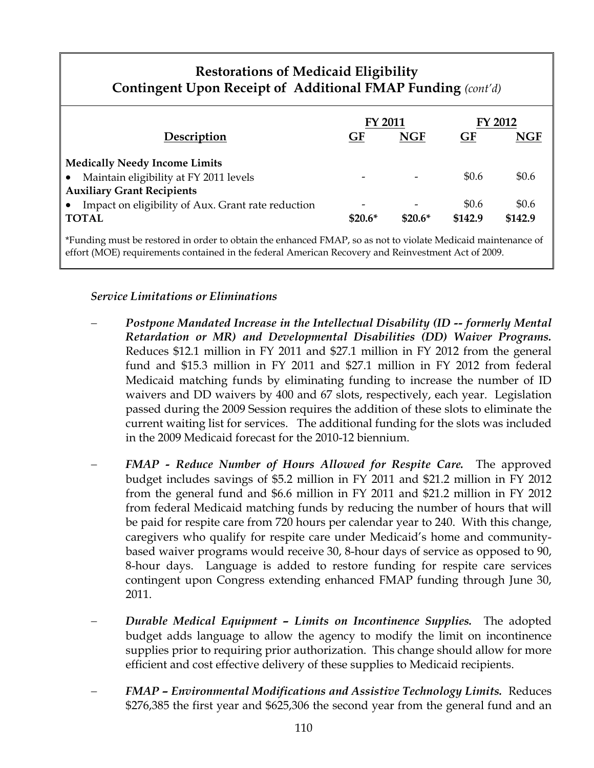# **Restorations of Medicaid Eligibility Contingent Upon Receipt of Additional FMAP Funding** *(cont'd)*

|                                                                                                           | <b>FY 2011</b><br>GF<br><b>NGF</b> |          | FY 2012 |            |
|-----------------------------------------------------------------------------------------------------------|------------------------------------|----------|---------|------------|
| Description                                                                                               |                                    |          | GF      | <b>NGF</b> |
| <b>Medically Needy Income Limits</b>                                                                      |                                    |          |         |            |
| Maintain eligibility at FY 2011 levels<br>$\bullet$                                                       | $\overline{\phantom{0}}$           |          | \$0.6   | \$0.6      |
| <b>Auxiliary Grant Recipients</b>                                                                         |                                    |          |         |            |
| Impact on eligibility of Aux. Grant rate reduction<br>$\bullet$                                           |                                    |          | \$0.6   | \$0.6      |
| <b>TOTAL</b>                                                                                              | $$20.6*$                           | $$20.6*$ | \$142.9 | \$142.9    |
| Eunding must be respond in order to obtain the enhanced EMAP so as not to violate Medicaid maintenance of |                                    |          |         |            |

enhanced FMAP, so as not to violate effort (MOE) requirements contained in the federal American Recovery and Reinvestment Act of 2009.

## *Service Limitations or Eliminations*

- − *Postpone Mandated Increase in the Intellectual Disability (ID -- formerly Mental Retardation or MR) and Developmental Disabilities (DD) Waiver Programs.*  Reduces \$12.1 million in FY 2011 and \$27.1 million in FY 2012 from the general fund and \$15.3 million in FY 2011 and \$27.1 million in FY 2012 from federal Medicaid matching funds by eliminating funding to increase the number of ID waivers and DD waivers by 400 and 67 slots, respectively, each year. Legislation passed during the 2009 Session requires the addition of these slots to eliminate the current waiting list for services. The additional funding for the slots was included in the 2009 Medicaid forecast for the 2010-12 biennium.
- − *FMAP Reduce Number of Hours Allowed for Respite Care.* The approved budget includes savings of \$5.2 million in FY 2011 and \$21.2 million in FY 2012 from the general fund and \$6.6 million in FY 2011 and \$21.2 million in FY 2012 from federal Medicaid matching funds by reducing the number of hours that will be paid for respite care from 720 hours per calendar year to 240. With this change, caregivers who qualify for respite care under Medicaid's home and communitybased waiver programs would receive 30, 8-hour days of service as opposed to 90, 8-hour days. Language is added to restore funding for respite care services contingent upon Congress extending enhanced FMAP funding through June 30, 2011.
- Durable Medical Equipment Limits on Incontinence Supplies. The adopted budget adds language to allow the agency to modify the limit on incontinence supplies prior to requiring prior authorization. This change should allow for more efficient and cost effective delivery of these supplies to Medicaid recipients.
- − *FMAP Environmental Modifications and Assistive Technology Limits.* Reduces \$276,385 the first year and \$625,306 the second year from the general fund and an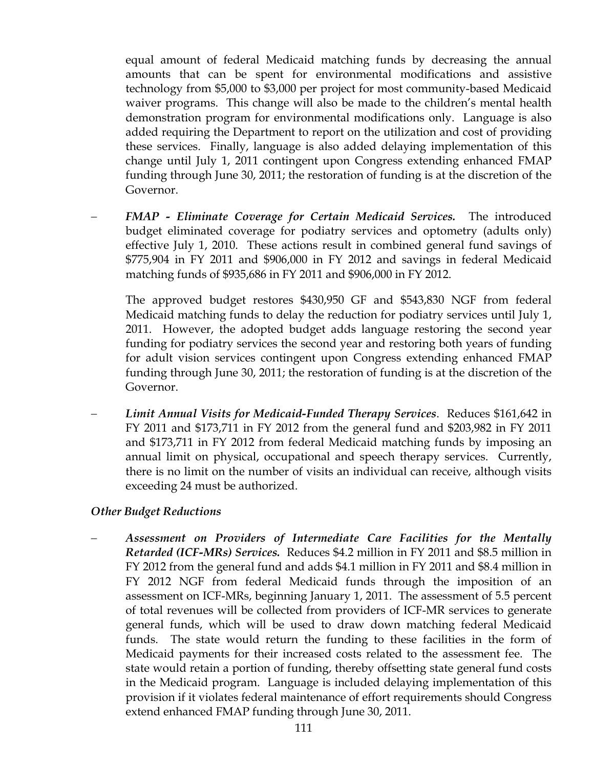equal amount of federal Medicaid matching funds by decreasing the annual amounts that can be spent for environmental modifications and assistive technology from \$5,000 to \$3,000 per project for most community-based Medicaid waiver programs. This change will also be made to the children's mental health demonstration program for environmental modifications only. Language is also added requiring the Department to report on the utilization and cost of providing these services. Finally, language is also added delaying implementation of this change until July 1, 2011 contingent upon Congress extending enhanced FMAP funding through June 30, 2011; the restoration of funding is at the discretion of the Governor.

− *FMAP - Eliminate Coverage for Certain Medicaid Services.* The introduced budget eliminated coverage for podiatry services and optometry (adults only) effective July 1, 2010. These actions result in combined general fund savings of \$775,904 in FY 2011 and \$906,000 in FY 2012 and savings in federal Medicaid matching funds of \$935,686 in FY 2011 and \$906,000 in FY 2012.

The approved budget restores \$430,950 GF and \$543,830 NGF from federal Medicaid matching funds to delay the reduction for podiatry services until July 1, 2011. However, the adopted budget adds language restoring the second year funding for podiatry services the second year and restoring both years of funding for adult vision services contingent upon Congress extending enhanced FMAP funding through June 30, 2011; the restoration of funding is at the discretion of the Governor.

− *Limit Annual Visits for Medicaid-Funded Therapy Services*. Reduces \$161,642 in FY 2011 and \$173,711 in FY 2012 from the general fund and \$203,982 in FY 2011 and \$173,711 in FY 2012 from federal Medicaid matching funds by imposing an annual limit on physical, occupational and speech therapy services. Currently, there is no limit on the number of visits an individual can receive, although visits exceeding 24 must be authorized.

## *Other Budget Reductions*

− *Assessment on Providers of Intermediate Care Facilities for the Mentally Retarded (ICF-MRs) Services.* Reduces \$4.2 million in FY 2011 and \$8.5 million in FY 2012 from the general fund and adds \$4.1 million in FY 2011 and \$8.4 million in FY 2012 NGF from federal Medicaid funds through the imposition of an assessment on ICF-MRs, beginning January 1, 2011. The assessment of 5.5 percent of total revenues will be collected from providers of ICF-MR services to generate general funds, which will be used to draw down matching federal Medicaid funds. The state would return the funding to these facilities in the form of Medicaid payments for their increased costs related to the assessment fee. The state would retain a portion of funding, thereby offsetting state general fund costs in the Medicaid program. Language is included delaying implementation of this provision if it violates federal maintenance of effort requirements should Congress extend enhanced FMAP funding through June 30, 2011.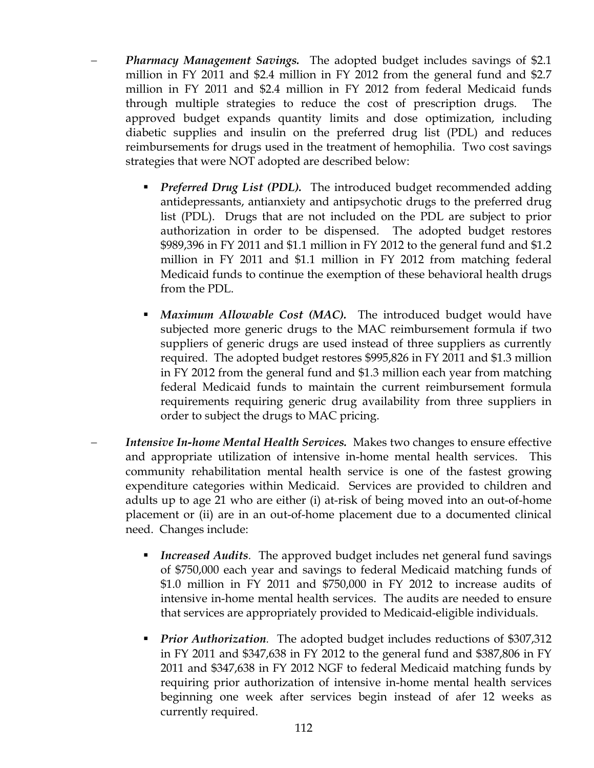- − *Pharmacy Management Savings.* The adopted budget includes savings of \$2.1 million in FY 2011 and \$2.4 million in FY 2012 from the general fund and \$2.7 million in FY 2011 and \$2.4 million in FY 2012 from federal Medicaid funds through multiple strategies to reduce the cost of prescription drugs. The approved budget expands quantity limits and dose optimization, including diabetic supplies and insulin on the preferred drug list (PDL) and reduces reimbursements for drugs used in the treatment of hemophilia. Two cost savings strategies that were NOT adopted are described below:
	- **Preferred Drug List (PDL).** The introduced budget recommended adding antidepressants, antianxiety and antipsychotic drugs to the preferred drug list (PDL). Drugs that are not included on the PDL are subject to prior authorization in order to be dispensed. The adopted budget restores \$989,396 in FY 2011 and \$1.1 million in FY 2012 to the general fund and \$1.2 million in FY 2011 and \$1.1 million in FY 2012 from matching federal Medicaid funds to continue the exemption of these behavioral health drugs from the PDL.
	- *Maximum Allowable Cost (MAC).*The introduced budget would have subjected more generic drugs to the MAC reimbursement formula if two suppliers of generic drugs are used instead of three suppliers as currently required. The adopted budget restores \$995,826 in FY 2011 and \$1.3 million in FY 2012 from the general fund and \$1.3 million each year from matching federal Medicaid funds to maintain the current reimbursement formula requirements requiring generic drug availability from three suppliers in order to subject the drugs to MAC pricing.
- *Intensive In-home Mental Health Services.* Makes two changes to ensure effective and appropriate utilization of intensive in-home mental health services. This community rehabilitation mental health service is one of the fastest growing expenditure categories within Medicaid. Services are provided to children and adults up to age 21 who are either (i) at-risk of being moved into an out-of-home placement or (ii) are in an out-of-home placement due to a documented clinical need. Changes include:
	- *Increased Audits.* The approved budget includes net general fund savings of \$750,000 each year and savings to federal Medicaid matching funds of \$1.0 million in FY 2011 and \$750,000 in FY 2012 to increase audits of intensive in-home mental health services. The audits are needed to ensure that services are appropriately provided to Medicaid-eligible individuals.
	- *Prior Authorization.* The adopted budget includes reductions of \$307,312 in FY 2011 and \$347,638 in FY 2012 to the general fund and \$387,806 in FY 2011 and \$347,638 in FY 2012 NGF to federal Medicaid matching funds by requiring prior authorization of intensive in-home mental health services beginning one week after services begin instead of afer 12 weeks as currently required.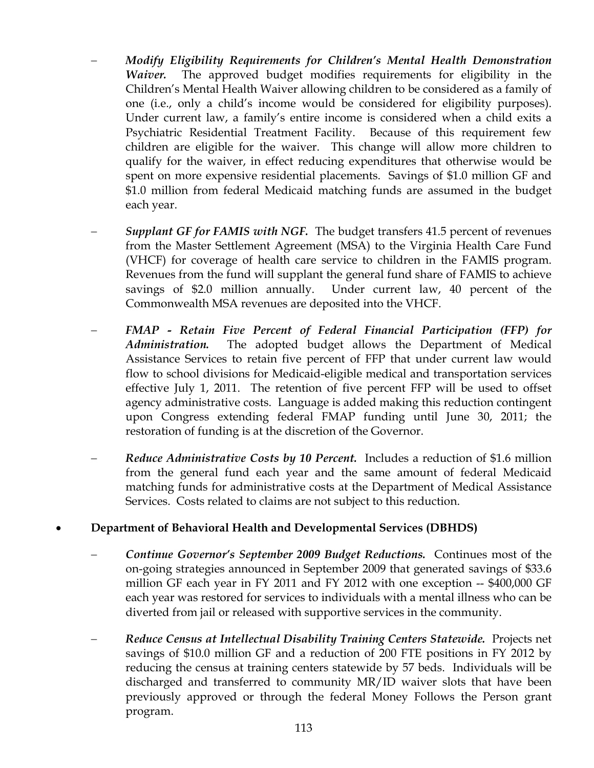- − *Modify Eligibility Requirements for Children's Mental Health Demonstration Waiver.* The approved budget modifies requirements for eligibility in the Children's Mental Health Waiver allowing children to be considered as a family of one (i.e., only a child's income would be considered for eligibility purposes). Under current law, a family's entire income is considered when a child exits a Psychiatric Residential Treatment Facility. Because of this requirement few children are eligible for the waiver. This change will allow more children to qualify for the waiver, in effect reducing expenditures that otherwise would be spent on more expensive residential placements. Savings of \$1.0 million GF and \$1.0 million from federal Medicaid matching funds are assumed in the budget each year.
- *Supplant GF for FAMIS with NGF.* The budget transfers 41.5 percent of revenues from the Master Settlement Agreement (MSA) to the Virginia Health Care Fund (VHCF) for coverage of health care service to children in the FAMIS program. Revenues from the fund will supplant the general fund share of FAMIS to achieve savings of \$2.0 million annually. Under current law, 40 percent of the Commonwealth MSA revenues are deposited into the VHCF.
- − *FMAP Retain Five Percent of Federal Financial Participation (FFP) for Administration.* The adopted budget allows the Department of Medical Assistance Services to retain five percent of FFP that under current law would flow to school divisions for Medicaid-eligible medical and transportation services effective July 1, 2011. The retention of five percent FFP will be used to offset agency administrative costs. Language is added making this reduction contingent upon Congress extending federal FMAP funding until June 30, 2011; the restoration of funding is at the discretion of the Governor.
- − *Reduce Administrative Costs by 10 Percent.* Includes a reduction of \$1.6 million from the general fund each year and the same amount of federal Medicaid matching funds for administrative costs at the Department of Medical Assistance Services. Costs related to claims are not subject to this reduction.

## • **Department of Behavioral Health and Developmental Services (DBHDS)**

- − *Continue Governor's September 2009 Budget Reductions.* Continues most of the on-going strategies announced in September 2009 that generated savings of \$33.6 million GF each year in FY 2011 and FY 2012 with one exception -- \$400,000 GF each year was restored for services to individuals with a mental illness who can be diverted from jail or released with supportive services in the community.
- − *Reduce Census at Intellectual Disability Training Centers Statewide.* Projects net savings of \$10.0 million GF and a reduction of 200 FTE positions in FY 2012 by reducing the census at training centers statewide by 57 beds. Individuals will be discharged and transferred to community MR/ID waiver slots that have been previously approved or through the federal Money Follows the Person grant program.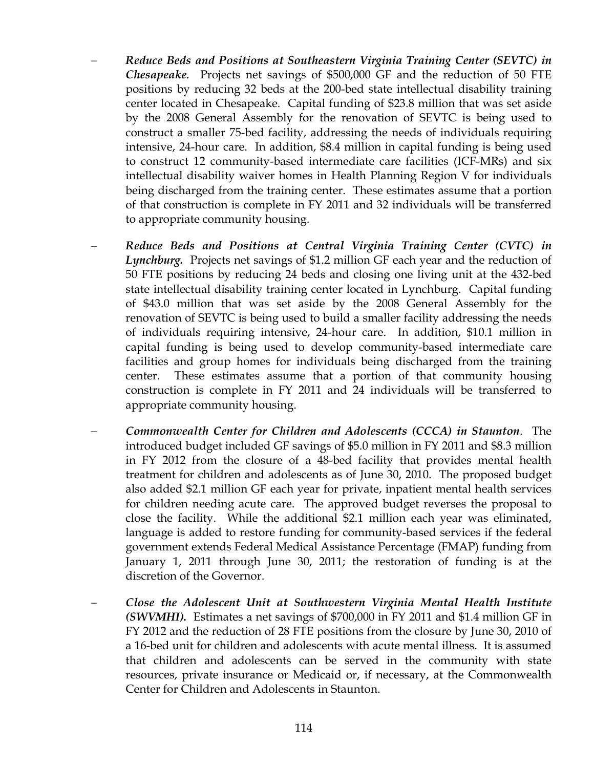- − *Reduce Beds and Positions at Southeastern Virginia Training Center (SEVTC) in Chesapeake.* Projects net savings of \$500,000 GF and the reduction of 50 FTE positions by reducing 32 beds at the 200-bed state intellectual disability training center located in Chesapeake. Capital funding of \$23.8 million that was set aside by the 2008 General Assembly for the renovation of SEVTC is being used to construct a smaller 75-bed facility, addressing the needs of individuals requiring intensive, 24-hour care. In addition, \$8.4 million in capital funding is being used to construct 12 community-based intermediate care facilities (ICF-MRs) and six intellectual disability waiver homes in Health Planning Region V for individuals being discharged from the training center. These estimates assume that a portion of that construction is complete in FY 2011 and 32 individuals will be transferred to appropriate community housing.
- − *Reduce Beds and Positions at Central Virginia Training Center (CVTC) in Lynchburg.* Projects net savings of \$1.2 million GF each year and the reduction of 50 FTE positions by reducing 24 beds and closing one living unit at the 432-bed state intellectual disability training center located in Lynchburg. Capital funding of \$43.0 million that was set aside by the 2008 General Assembly for the renovation of SEVTC is being used to build a smaller facility addressing the needs of individuals requiring intensive, 24-hour care. In addition, \$10.1 million in capital funding is being used to develop community-based intermediate care facilities and group homes for individuals being discharged from the training center. These estimates assume that a portion of that community housing construction is complete in FY 2011 and 24 individuals will be transferred to appropriate community housing.
- − *Commonwealth Center for Children and Adolescents (CCCA) in Staunton*. The introduced budget included GF savings of \$5.0 million in FY 2011 and \$8.3 million in FY 2012 from the closure of a 48-bed facility that provides mental health treatment for children and adolescents as of June 30, 2010. The proposed budget also added \$2.1 million GF each year for private, inpatient mental health services for children needing acute care. The approved budget reverses the proposal to close the facility. While the additional \$2.1 million each year was eliminated, language is added to restore funding for community-based services if the federal government extends Federal Medical Assistance Percentage (FMAP) funding from January 1, 2011 through June 30, 2011; the restoration of funding is at the discretion of the Governor.
- − *Close the Adolescent Unit at Southwestern Virginia Mental Health Institute (SWVMHI).* Estimates a net savings of \$700,000 in FY 2011 and \$1.4 million GF in FY 2012 and the reduction of 28 FTE positions from the closure by June 30, 2010 of a 16-bed unit for children and adolescents with acute mental illness. It is assumed that children and adolescents can be served in the community with state resources, private insurance or Medicaid or, if necessary, at the Commonwealth Center for Children and Adolescents in Staunton.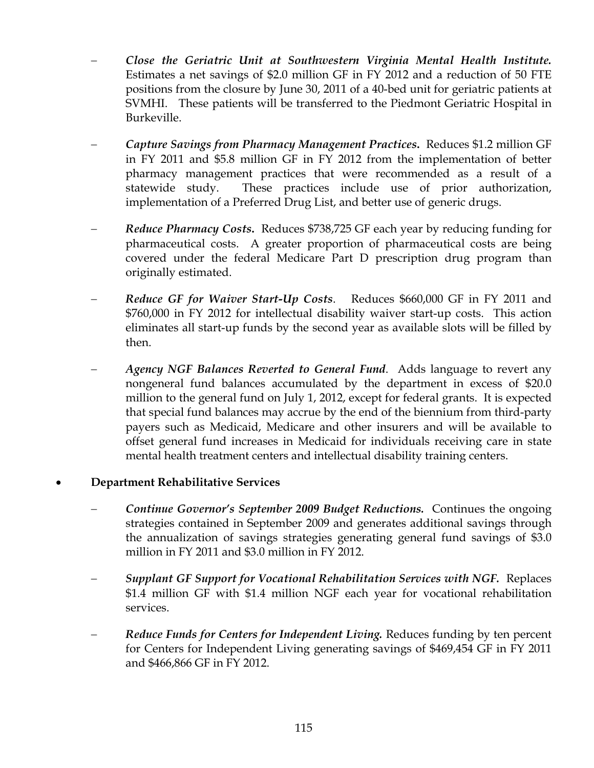- − *Close the Geriatric Unit at Southwestern Virginia Mental Health Institute.*  Estimates a net savings of \$2.0 million GF in FY 2012 and a reduction of 50 FTE positions from the closure by June 30, 2011 of a 40-bed unit for geriatric patients at SVMHI. These patients will be transferred to the Piedmont Geriatric Hospital in Burkeville.
- − *Capture Savings from Pharmacy Management Practices***.** Reduces \$1.2 million GF in FY 2011 and \$5.8 million GF in FY 2012 from the implementation of better pharmacy management practices that were recommended as a result of a statewide study. These practices include use of prior authorization, implementation of a Preferred Drug List, and better use of generic drugs.
- − *Reduce Pharmacy Costs***.** Reduces \$738,725 GF each year by reducing funding for pharmaceutical costs. A greater proportion of pharmaceutical costs are being covered under the federal Medicare Part D prescription drug program than originally estimated.
- − *Reduce GF for Waiver Start-Up Costs*. Reduces \$660,000 GF in FY 2011 and \$760,000 in FY 2012 for intellectual disability waiver start-up costs. This action eliminates all start-up funds by the second year as available slots will be filled by then.
- − *Agency NGF Balances Reverted to General Fund*. Adds language to revert any nongeneral fund balances accumulated by the department in excess of \$20.0 million to the general fund on July 1, 2012, except for federal grants. It is expected that special fund balances may accrue by the end of the biennium from third-party payers such as Medicaid, Medicare and other insurers and will be available to offset general fund increases in Medicaid for individuals receiving care in state mental health treatment centers and intellectual disability training centers.

## • **Department Rehabilitative Services**

- − *Continue Governor's September 2009 Budget Reductions.* Continues the ongoing strategies contained in September 2009 and generates additional savings through the annualization of savings strategies generating general fund savings of \$3.0 million in FY 2011 and \$3.0 million in FY 2012.
- − *Supplant GF Support for Vocational Rehabilitation Services with NGF.* Replaces \$1.4 million GF with \$1.4 million NGF each year for vocational rehabilitation services.
- *Reduce Funds for Centers for Independent Living.* Reduces funding by ten percent for Centers for Independent Living generating savings of \$469,454 GF in FY 2011 and \$466,866 GF in FY 2012.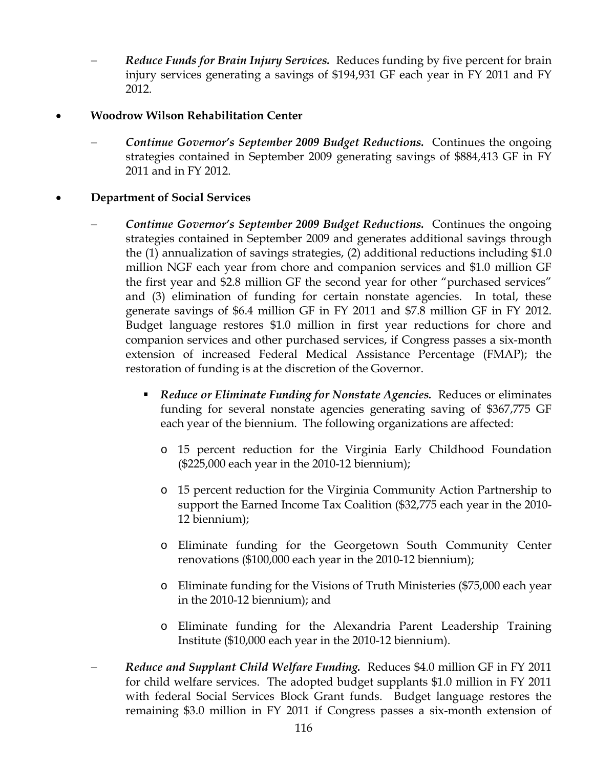- *Reduce Funds for Brain Injury Services.* Reduces funding by five percent for brain injury services generating a savings of \$194,931 GF each year in FY 2011 and FY 2012.
- **Woodrow Wilson Rehabilitation Center** 
	- − *Continue Governor's September 2009 Budget Reductions.* Continues the ongoing strategies contained in September 2009 generating savings of \$884,413 GF in FY 2011 and in FY 2012.

## • **Department of Social Services**

- − *Continue Governor's September 2009 Budget Reductions.* Continues the ongoing strategies contained in September 2009 and generates additional savings through the (1) annualization of savings strategies, (2) additional reductions including \$1.0 million NGF each year from chore and companion services and \$1.0 million GF the first year and \$2.8 million GF the second year for other "purchased services" and (3) elimination of funding for certain nonstate agencies. In total, these generate savings of \$6.4 million GF in FY 2011 and \$7.8 million GF in FY 2012. Budget language restores \$1.0 million in first year reductions for chore and companion services and other purchased services, if Congress passes a six-month extension of increased Federal Medical Assistance Percentage (FMAP); the restoration of funding is at the discretion of the Governor.
	- *Reduce or Eliminate Funding for Nonstate Agencies.* Reduces or eliminates funding for several nonstate agencies generating saving of \$367,775 GF each year of the biennium. The following organizations are affected:
		- o 15 percent reduction for the Virginia Early Childhood Foundation (\$225,000 each year in the 2010-12 biennium);
		- o 15 percent reduction for the Virginia Community Action Partnership to support the Earned Income Tax Coalition (\$32,775 each year in the 2010- 12 biennium);
		- o Eliminate funding for the Georgetown South Community Center renovations (\$100,000 each year in the 2010-12 biennium);
		- o Eliminate funding for the Visions of Truth Ministeries (\$75,000 each year in the 2010-12 biennium); and
		- o Eliminate funding for the Alexandria Parent Leadership Training Institute (\$10,000 each year in the 2010-12 biennium).
- − *Reduce and Supplant Child Welfare Funding.* Reduces \$4.0 million GF in FY 2011 for child welfare services. The adopted budget supplants \$1.0 million in FY 2011 with federal Social Services Block Grant funds. Budget language restores the remaining \$3.0 million in FY 2011 if Congress passes a six-month extension of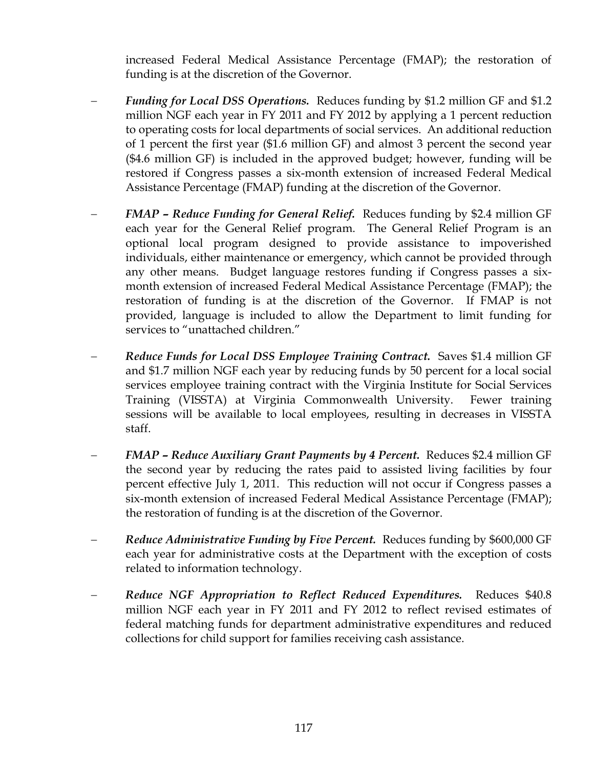increased Federal Medical Assistance Percentage (FMAP); the restoration of funding is at the discretion of the Governor.

- *Funding for Local DSS Operations.* Reduces funding by \$1.2 million GF and \$1.2 million NGF each year in FY 2011 and FY 2012 by applying a 1 percent reduction to operating costs for local departments of social services. An additional reduction of 1 percent the first year (\$1.6 million GF) and almost 3 percent the second year (\$4.6 million GF) is included in the approved budget; however, funding will be restored if Congress passes a six-month extension of increased Federal Medical Assistance Percentage (FMAP) funding at the discretion of the Governor.
- − *FMAP Reduce Funding for General Relief.* Reduces funding by \$2.4 million GF each year for the General Relief program. The General Relief Program is an optional local program designed to provide assistance to impoverished individuals, either maintenance or emergency, which cannot be provided through any other means. Budget language restores funding if Congress passes a sixmonth extension of increased Federal Medical Assistance Percentage (FMAP); the restoration of funding is at the discretion of the Governor. If FMAP is not provided, language is included to allow the Department to limit funding for services to "unattached children."
- *Reduce Funds for Local DSS Employee Training Contract.* Saves \$1.4 million GF and \$1.7 million NGF each year by reducing funds by 50 percent for a local social services employee training contract with the Virginia Institute for Social Services Training (VISSTA) at Virginia Commonwealth University. Fewer training sessions will be available to local employees, resulting in decreases in VISSTA staff.
- − *FMAP Reduce Auxiliary Grant Payments by 4 Percent.* Reduces \$2.4 million GF the second year by reducing the rates paid to assisted living facilities by four percent effective July 1, 2011. This reduction will not occur if Congress passes a six-month extension of increased Federal Medical Assistance Percentage (FMAP); the restoration of funding is at the discretion of the Governor.
- − *Reduce Administrative Funding by Five Percent.* Reduces funding by \$600,000 GF each year for administrative costs at the Department with the exception of costs related to information technology.
- − *Reduce NGF Appropriation to Reflect Reduced Expenditures.* Reduces \$40.8 million NGF each year in FY 2011 and FY 2012 to reflect revised estimates of federal matching funds for department administrative expenditures and reduced collections for child support for families receiving cash assistance.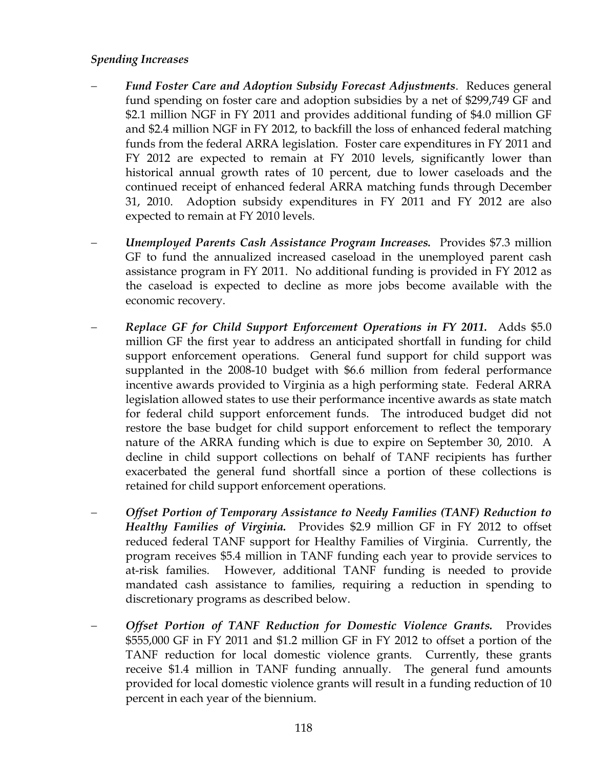### *Spending Increases*

- − *Fund Foster Care and Adoption Subsidy Forecast Adjustments*. Reduces general fund spending on foster care and adoption subsidies by a net of \$299,749 GF and \$2.1 million NGF in FY 2011 and provides additional funding of \$4.0 million GF and \$2.4 million NGF in FY 2012, to backfill the loss of enhanced federal matching funds from the federal ARRA legislation. Foster care expenditures in FY 2011 and FY 2012 are expected to remain at FY 2010 levels, significantly lower than historical annual growth rates of 10 percent, due to lower caseloads and the continued receipt of enhanced federal ARRA matching funds through December 31, 2010. Adoption subsidy expenditures in FY 2011 and FY 2012 are also expected to remain at FY 2010 levels.
- − *Unemployed Parents Cash Assistance Program Increases.* Provides \$7.3 million GF to fund the annualized increased caseload in the unemployed parent cash assistance program in FY 2011. No additional funding is provided in FY 2012 as the caseload is expected to decline as more jobs become available with the economic recovery.
- − *Replace GF for Child Support Enforcement Operations in FY 2011.* Adds \$5.0 million GF the first year to address an anticipated shortfall in funding for child support enforcement operations. General fund support for child support was supplanted in the 2008-10 budget with \$6.6 million from federal performance incentive awards provided to Virginia as a high performing state. Federal ARRA legislation allowed states to use their performance incentive awards as state match for federal child support enforcement funds. The introduced budget did not restore the base budget for child support enforcement to reflect the temporary nature of the ARRA funding which is due to expire on September 30, 2010. A decline in child support collections on behalf of TANF recipients has further exacerbated the general fund shortfall since a portion of these collections is retained for child support enforcement operations.
- − *Offset Portion of Temporary Assistance to Needy Families (TANF) Reduction to Healthy Families of Virginia.* Provides \$2.9 million GF in FY 2012 to offset reduced federal TANF support for Healthy Families of Virginia. Currently, the program receives \$5.4 million in TANF funding each year to provide services to at-risk families. However, additional TANF funding is needed to provide mandated cash assistance to families, requiring a reduction in spending to discretionary programs as described below.
- − *Offset Portion of TANF Reduction for Domestic Violence Grants.* Provides \$555,000 GF in FY 2011 and \$1.2 million GF in FY 2012 to offset a portion of the TANF reduction for local domestic violence grants. Currently, these grants receive \$1.4 million in TANF funding annually. The general fund amounts provided for local domestic violence grants will result in a funding reduction of 10 percent in each year of the biennium.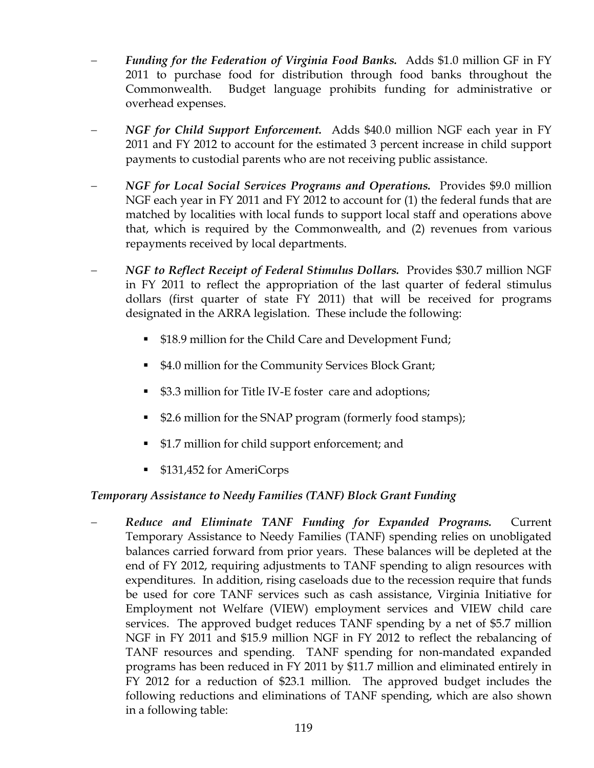- − *Funding for the Federation of Virginia Food Banks.* Adds \$1.0 million GF in FY 2011 to purchase food for distribution through food banks throughout the Commonwealth. Budget language prohibits funding for administrative or overhead expenses.
- − *NGF for Child Support Enforcement.* Adds \$40.0 million NGF each year in FY 2011 and FY 2012 to account for the estimated 3 percent increase in child support payments to custodial parents who are not receiving public assistance.
- − *NGF for Local Social Services Programs and Operations.* Provides \$9.0 million NGF each year in FY 2011 and FY 2012 to account for (1) the federal funds that are matched by localities with local funds to support local staff and operations above that, which is required by the Commonwealth, and (2) revenues from various repayments received by local departments.
- − *NGF to Reflect Receipt of Federal Stimulus Dollars.* Provides \$30.7 million NGF in FY 2011 to reflect the appropriation of the last quarter of federal stimulus dollars (first quarter of state FY 2011) that will be received for programs designated in the ARRA legislation. These include the following:
	- **S18.9 million for the Child Care and Development Fund;**
	- **54.0 million for the Community Services Block Grant;**
	- \$3.3 million for Title IV-E foster care and adoptions;
	- \$2.6 million for the SNAP program (formerly food stamps);
	- \$1.7 million for child support enforcement; and
	- \$131,452 for AmeriCorps

## *Temporary Assistance to Needy Families (TANF) Block Grant Funding*

− *Reduce and Eliminate TANF Funding for Expanded Programs.* Current Temporary Assistance to Needy Families (TANF) spending relies on unobligated balances carried forward from prior years. These balances will be depleted at the end of FY 2012, requiring adjustments to TANF spending to align resources with expenditures. In addition, rising caseloads due to the recession require that funds be used for core TANF services such as cash assistance, Virginia Initiative for Employment not Welfare (VIEW) employment services and VIEW child care services. The approved budget reduces TANF spending by a net of \$5.7 million NGF in FY 2011 and \$15.9 million NGF in FY 2012 to reflect the rebalancing of TANF resources and spending. TANF spending for non-mandated expanded programs has been reduced in FY 2011 by \$11.7 million and eliminated entirely in FY 2012 for a reduction of \$23.1 million. The approved budget includes the following reductions and eliminations of TANF spending, which are also shown in a following table: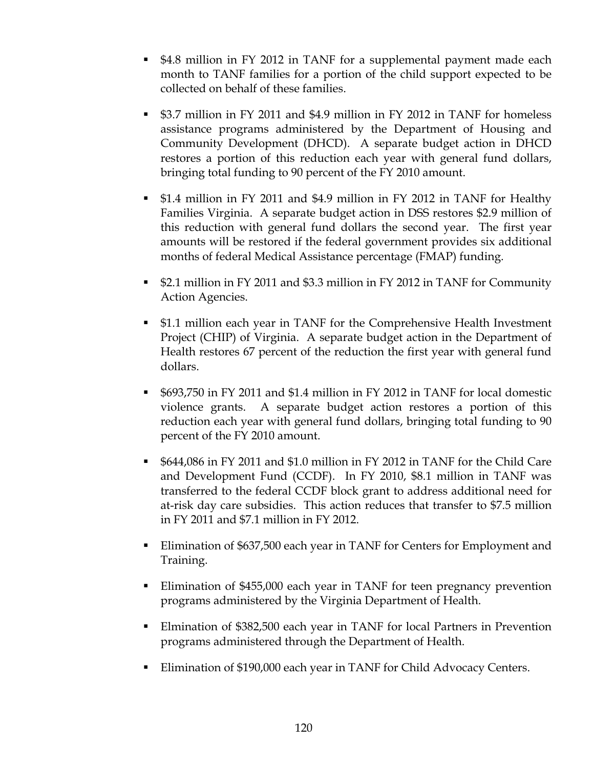- \$4.8 million in FY 2012 in TANF for a supplemental payment made each month to TANF families for a portion of the child support expected to be collected on behalf of these families.
- \$3.7 million in FY 2011 and \$4.9 million in FY 2012 in TANF for homeless assistance programs administered by the Department of Housing and Community Development (DHCD). A separate budget action in DHCD restores a portion of this reduction each year with general fund dollars, bringing total funding to 90 percent of the FY 2010 amount.
- \$1.4 million in FY 2011 and \$4.9 million in FY 2012 in TANF for Healthy Families Virginia. A separate budget action in DSS restores \$2.9 million of this reduction with general fund dollars the second year. The first year amounts will be restored if the federal government provides six additional months of federal Medical Assistance percentage (FMAP) funding.
- \$2.1 million in FY 2011 and \$3.3 million in FY 2012 in TANF for Community Action Agencies.
- \$1.1 million each year in TANF for the Comprehensive Health Investment Project (CHIP) of Virginia. A separate budget action in the Department of Health restores 67 percent of the reduction the first year with general fund dollars.
- \$693,750 in FY 2011 and \$1.4 million in FY 2012 in TANF for local domestic violence grants. A separate budget action restores a portion of this reduction each year with general fund dollars, bringing total funding to 90 percent of the FY 2010 amount.
- \$644,086 in FY 2011 and \$1.0 million in FY 2012 in TANF for the Child Care and Development Fund (CCDF). In FY 2010, \$8.1 million in TANF was transferred to the federal CCDF block grant to address additional need for at-risk day care subsidies. This action reduces that transfer to \$7.5 million in FY 2011 and \$7.1 million in FY 2012.
- **Elimination of \$637,500 each year in TANF for Centers for Employment and** Training.
- Elimination of \$455,000 each year in TANF for teen pregnancy prevention programs administered by the Virginia Department of Health.
- Elmination of \$382,500 each year in TANF for local Partners in Prevention programs administered through the Department of Health.
- Elimination of \$190,000 each year in TANF for Child Advocacy Centers.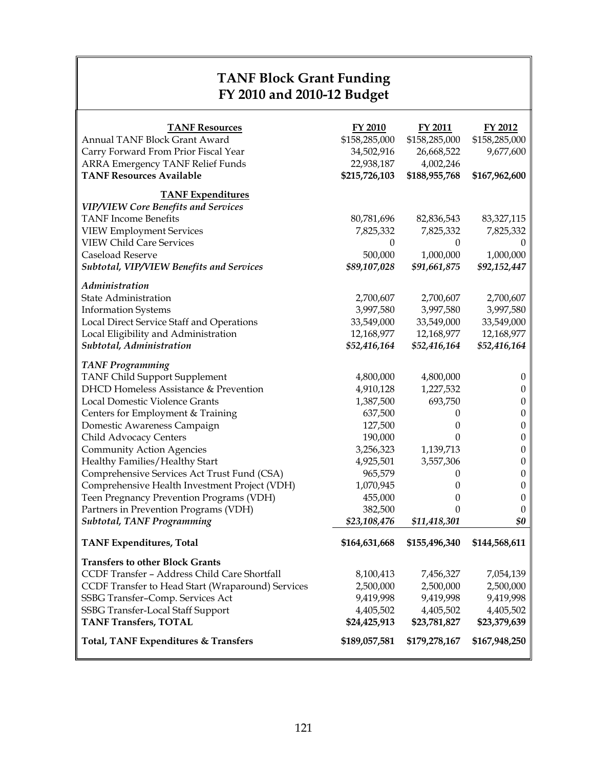# **TANF Block Grant Funding FY 2010 and 2010-12 Budget**

| <b>TANF Resources</b><br>Annual TANF Block Grant Award<br>Carry Forward From Prior Fiscal Year<br><b>ARRA Emergency TANF Relief Funds</b><br><b>TANF Resources Available</b> | FY 2010<br>\$158,285,000<br>34,502,916<br>22,938,187<br>\$215,726,103 | FY 2011<br>\$158,285,000<br>26,668,522<br>4,002,246<br>\$188,955,768 | FY 2012<br>\$158,285,000<br>9,677,600<br>\$167,962,600 |
|------------------------------------------------------------------------------------------------------------------------------------------------------------------------------|-----------------------------------------------------------------------|----------------------------------------------------------------------|--------------------------------------------------------|
| <b>TANF</b> Expenditures                                                                                                                                                     |                                                                       |                                                                      |                                                        |
| <b>VIP/VIEW Core Benefits and Services</b><br><b>TANF</b> Income Benefits                                                                                                    | 80,781,696                                                            | 82,836,543                                                           | 83, 327, 115                                           |
| <b>VIEW Employment Services</b>                                                                                                                                              | 7,825,332                                                             | 7,825,332                                                            | 7,825,332                                              |
| <b>VIEW Child Care Services</b>                                                                                                                                              | $\boldsymbol{0}$                                                      | $\boldsymbol{0}$                                                     | $\theta$                                               |
| Caseload Reserve                                                                                                                                                             | 500,000                                                               | 1,000,000                                                            | 1,000,000                                              |
| Subtotal, VIP/VIEW Benefits and Services                                                                                                                                     | \$89,107,028                                                          | \$91,661,875                                                         | \$92,152,447                                           |
| Administration                                                                                                                                                               |                                                                       |                                                                      |                                                        |
| <b>State Administration</b>                                                                                                                                                  | 2,700,607                                                             | 2,700,607                                                            | 2,700,607                                              |
| <b>Information Systems</b>                                                                                                                                                   | 3,997,580                                                             | 3,997,580                                                            | 3,997,580                                              |
| Local Direct Service Staff and Operations                                                                                                                                    | 33,549,000                                                            | 33,549,000                                                           | 33,549,000                                             |
| Local Eligibility and Administration                                                                                                                                         | 12,168,977                                                            | 12,168,977                                                           | 12,168,977                                             |
| Subtotal, Administration                                                                                                                                                     | \$52,416,164                                                          | \$52,416,164                                                         | \$52,416,164                                           |
| <b>TANF Programming</b>                                                                                                                                                      |                                                                       |                                                                      |                                                        |
| TANF Child Support Supplement                                                                                                                                                | 4,800,000                                                             | 4,800,000                                                            | $\mathbf{0}$                                           |
| <b>DHCD Homeless Assistance &amp; Prevention</b>                                                                                                                             | 4,910,128                                                             | 1,227,532                                                            | $\boldsymbol{0}$                                       |
| Local Domestic Violence Grants                                                                                                                                               | 1,387,500                                                             | 693,750                                                              | $\boldsymbol{0}$                                       |
| Centers for Employment & Training                                                                                                                                            | 637,500                                                               | 0                                                                    | $\boldsymbol{0}$                                       |
| Domestic Awareness Campaign                                                                                                                                                  | 127,500                                                               | $\theta$                                                             | $\boldsymbol{0}$                                       |
| Child Advocacy Centers                                                                                                                                                       | 190,000                                                               | $\theta$                                                             | $\boldsymbol{0}$                                       |
| <b>Community Action Agencies</b>                                                                                                                                             | 3,256,323                                                             | 1,139,713                                                            | $\boldsymbol{0}$                                       |
| Healthy Families/Healthy Start                                                                                                                                               | 4,925,501                                                             | 3,557,306                                                            | $\boldsymbol{0}$                                       |
| Comprehensive Services Act Trust Fund (CSA)                                                                                                                                  | 965,579                                                               | 0                                                                    | $\boldsymbol{0}$                                       |
| Comprehensive Health Investment Project (VDH)                                                                                                                                | 1,070,945                                                             | 0                                                                    | $\boldsymbol{0}$                                       |
| Teen Pregnancy Prevention Programs (VDH)                                                                                                                                     | 455,000                                                               | 0                                                                    | $\boldsymbol{0}$                                       |
| Partners in Prevention Programs (VDH)                                                                                                                                        | 382,500                                                               | $\Omega$                                                             | $\theta$                                               |
| <b>Subtotal, TANF Programming</b>                                                                                                                                            | \$23,108,476                                                          | \$11,418,301                                                         | \$0                                                    |
| <b>TANF Expenditures, Total</b>                                                                                                                                              | \$164,631,668                                                         | \$155,496,340                                                        | \$144,568,611                                          |
| <b>Transfers to other Block Grants</b>                                                                                                                                       |                                                                       |                                                                      |                                                        |
| CCDF Transfer - Address Child Care Shortfall                                                                                                                                 | 8,100,413                                                             | 7,456,327                                                            | 7,054,139                                              |
| CCDF Transfer to Head Start (Wraparound) Services                                                                                                                            | 2,500,000                                                             | 2,500,000                                                            | 2,500,000                                              |
| SSBG Transfer-Comp. Services Act                                                                                                                                             | 9,419,998                                                             | 9,419,998                                                            | 9,419,998                                              |
| SSBG Transfer-Local Staff Support                                                                                                                                            | 4,405,502                                                             | 4,405,502                                                            | 4,405,502                                              |
| <b>TANF Transfers, TOTAL</b>                                                                                                                                                 | \$24,425,913                                                          | \$23,781,827                                                         | \$23,379,639                                           |
| Total, TANF Expenditures & Transfers                                                                                                                                         | \$189,057,581                                                         | \$179,278,167                                                        | \$167,948,250                                          |